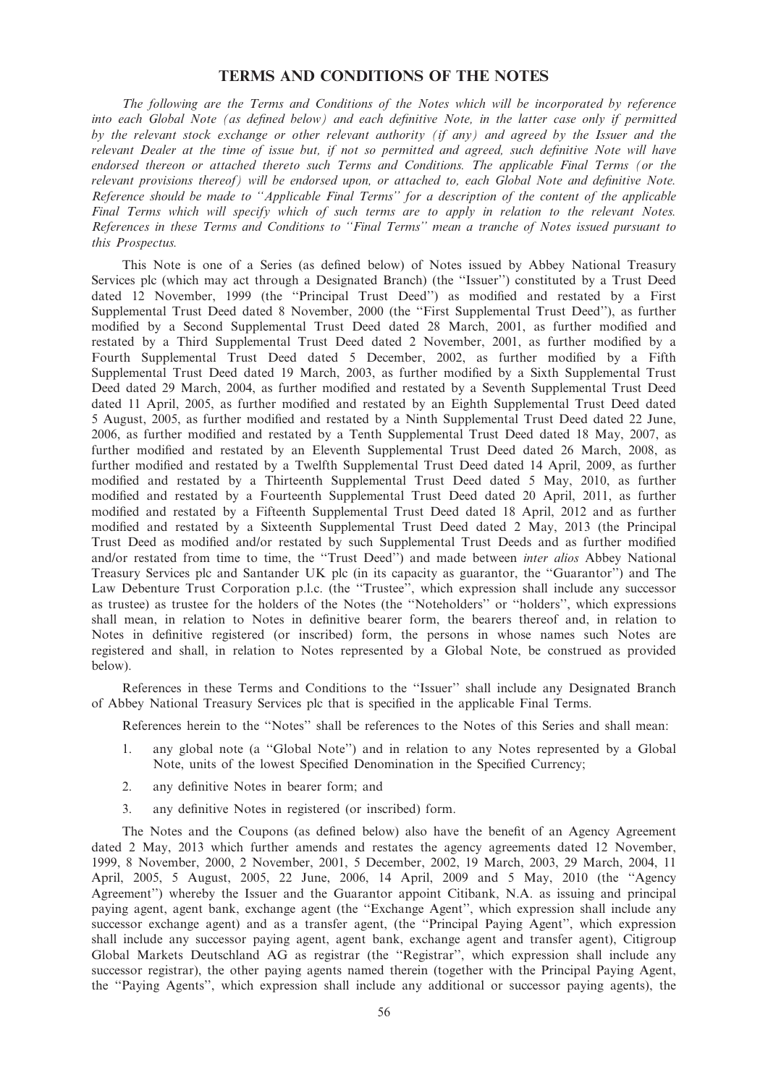# TERMS AND CONDITIONS OF THE NOTES

The following are the Terms and Conditions of the Notes which will be incorporated by reference into each Global Note (as defined below) and each definitive Note, in the latter case only if permitted by the relevant stock exchange or other relevant authority (if any) and agreed by the Issuer and the relevant Dealer at the time of issue but, if not so permitted and agreed, such definitive Note will have endorsed thereon or attached thereto such Terms and Conditions. The applicable Final Terms (or the relevant provisions thereof) will be endorsed upon, or attached to, each Global Note and definitive Note. Reference should be made to ''Applicable Final Terms'' for a description of the content of the applicable Final Terms which will specify which of such terms are to apply in relation to the relevant Notes. References in these Terms and Conditions to ''Final Terms'' mean a tranche of Notes issued pursuant to this Prospectus.

This Note is one of a Series (as defined below) of Notes issued by Abbey National Treasury Services plc (which may act through a Designated Branch) (the ''Issuer'') constituted by a Trust Deed dated 12 November, 1999 (the ''Principal Trust Deed'') as modified and restated by a First Supplemental Trust Deed dated 8 November, 2000 (the ''First Supplemental Trust Deed''), as further modified by a Second Supplemental Trust Deed dated 28 March, 2001, as further modified and restated by a Third Supplemental Trust Deed dated 2 November, 2001, as further modified by a Fourth Supplemental Trust Deed dated 5 December, 2002, as further modified by a Fifth Supplemental Trust Deed dated 19 March, 2003, as further modified by a Sixth Supplemental Trust Deed dated 29 March, 2004, as further modified and restated by a Seventh Supplemental Trust Deed dated 11 April, 2005, as further modified and restated by an Eighth Supplemental Trust Deed dated 5 August, 2005, as further modified and restated by a Ninth Supplemental Trust Deed dated 22 June, 2006, as further modified and restated by a Tenth Supplemental Trust Deed dated 18 May, 2007, as further modified and restated by an Eleventh Supplemental Trust Deed dated 26 March, 2008, as further modified and restated by a Twelfth Supplemental Trust Deed dated 14 April, 2009, as further modified and restated by a Thirteenth Supplemental Trust Deed dated 5 May, 2010, as further modified and restated by a Fourteenth Supplemental Trust Deed dated 20 April, 2011, as further modified and restated by a Fifteenth Supplemental Trust Deed dated 18 April, 2012 and as further modified and restated by a Sixteenth Supplemental Trust Deed dated 2 May, 2013 (the Principal Trust Deed as modified and/or restated by such Supplemental Trust Deeds and as further modified and/or restated from time to time, the ''Trust Deed'') and made between inter alios Abbey National Treasury Services plc and Santander UK plc (in its capacity as guarantor, the ''Guarantor'') and The Law Debenture Trust Corporation p.l.c. (the ''Trustee'', which expression shall include any successor as trustee) as trustee for the holders of the Notes (the ''Noteholders'' or ''holders'', which expressions shall mean, in relation to Notes in definitive bearer form, the bearers thereof and, in relation to Notes in definitive registered (or inscribed) form, the persons in whose names such Notes are registered and shall, in relation to Notes represented by a Global Note, be construed as provided below).

References in these Terms and Conditions to the ''Issuer'' shall include any Designated Branch of Abbey National Treasury Services plc that is specified in the applicable Final Terms.

References herein to the ''Notes'' shall be references to the Notes of this Series and shall mean:

- 1. any global note (a ''Global Note'') and in relation to any Notes represented by a Global Note, units of the lowest Specified Denomination in the Specified Currency;
- 2. any definitive Notes in bearer form; and
- 3. any definitive Notes in registered (or inscribed) form.

The Notes and the Coupons (as defined below) also have the benefit of an Agency Agreement dated 2 May, 2013 which further amends and restates the agency agreements dated 12 November, 1999, 8 November, 2000, 2 November, 2001, 5 December, 2002, 19 March, 2003, 29 March, 2004, 11 April, 2005, 5 August, 2005, 22 June, 2006, 14 April, 2009 and 5 May, 2010 (the ''Agency Agreement'') whereby the Issuer and the Guarantor appoint Citibank, N.A. as issuing and principal paying agent, agent bank, exchange agent (the ''Exchange Agent'', which expression shall include any successor exchange agent) and as a transfer agent, (the "Principal Paying Agent", which expression shall include any successor paying agent, agent bank, exchange agent and transfer agent), Citigroup Global Markets Deutschland AG as registrar (the ''Registrar'', which expression shall include any successor registrar), the other paying agents named therein (together with the Principal Paying Agent, the ''Paying Agents'', which expression shall include any additional or successor paying agents), the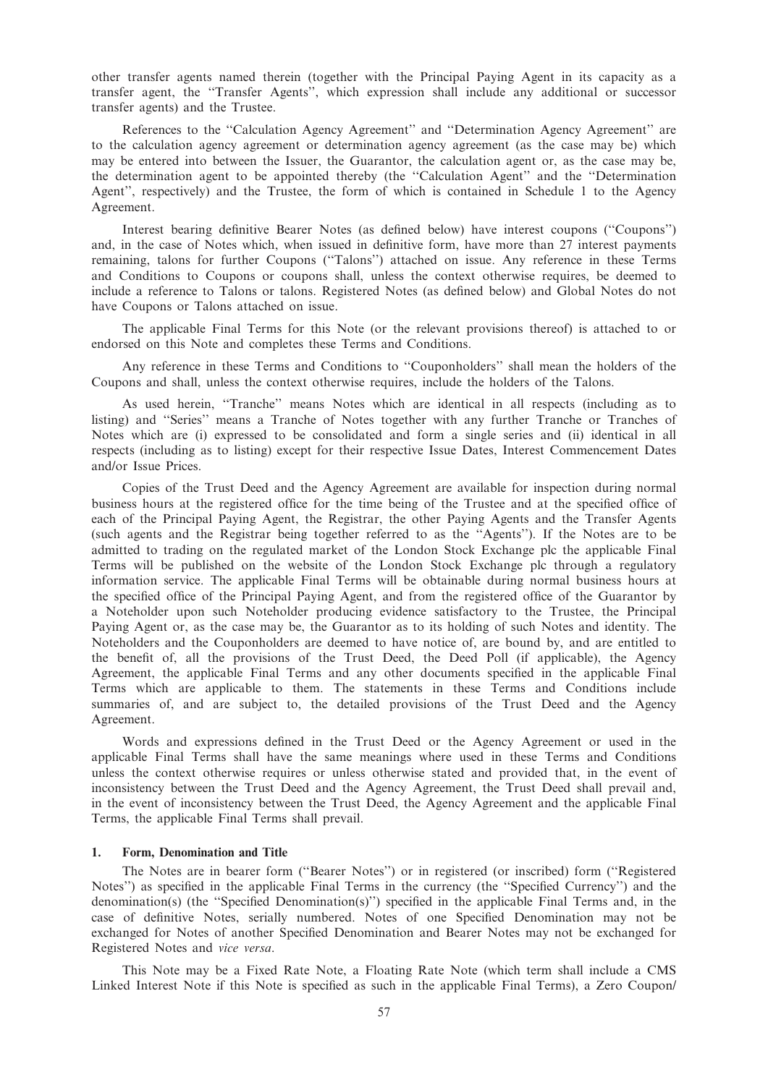other transfer agents named therein (together with the Principal Paying Agent in its capacity as a transfer agent, the ''Transfer Agents'', which expression shall include any additional or successor transfer agents) and the Trustee.

References to the ''Calculation Agency Agreement'' and ''Determination Agency Agreement'' are to the calculation agency agreement or determination agency agreement (as the case may be) which may be entered into between the Issuer, the Guarantor, the calculation agent or, as the case may be, the determination agent to be appointed thereby (the ''Calculation Agent'' and the ''Determination Agent'', respectively) and the Trustee, the form of which is contained in Schedule 1 to the Agency Agreement.

Interest bearing definitive Bearer Notes (as defined below) have interest coupons (''Coupons'') and, in the case of Notes which, when issued in definitive form, have more than 27 interest payments remaining, talons for further Coupons (''Talons'') attached on issue. Any reference in these Terms and Conditions to Coupons or coupons shall, unless the context otherwise requires, be deemed to include a reference to Talons or talons. Registered Notes (as defined below) and Global Notes do not have Coupons or Talons attached on issue.

The applicable Final Terms for this Note (or the relevant provisions thereof) is attached to or endorsed on this Note and completes these Terms and Conditions.

Any reference in these Terms and Conditions to ''Couponholders'' shall mean the holders of the Coupons and shall, unless the context otherwise requires, include the holders of the Talons.

As used herein, ''Tranche'' means Notes which are identical in all respects (including as to listing) and ''Series'' means a Tranche of Notes together with any further Tranche or Tranches of Notes which are (i) expressed to be consolidated and form a single series and (ii) identical in all respects (including as to listing) except for their respective Issue Dates, Interest Commencement Dates and/or Issue Prices.

Copies of the Trust Deed and the Agency Agreement are available for inspection during normal business hours at the registered office for the time being of the Trustee and at the specified office of each of the Principal Paying Agent, the Registrar, the other Paying Agents and the Transfer Agents (such agents and the Registrar being together referred to as the ''Agents''). If the Notes are to be admitted to trading on the regulated market of the London Stock Exchange plc the applicable Final Terms will be published on the website of the London Stock Exchange plc through a regulatory information service. The applicable Final Terms will be obtainable during normal business hours at the specified office of the Principal Paying Agent, and from the registered office of the Guarantor by a Noteholder upon such Noteholder producing evidence satisfactory to the Trustee, the Principal Paying Agent or, as the case may be, the Guarantor as to its holding of such Notes and identity. The Noteholders and the Couponholders are deemed to have notice of, are bound by, and are entitled to the benefit of, all the provisions of the Trust Deed, the Deed Poll (if applicable), the Agency Agreement, the applicable Final Terms and any other documents specified in the applicable Final Terms which are applicable to them. The statements in these Terms and Conditions include summaries of, and are subject to, the detailed provisions of the Trust Deed and the Agency Agreement.

Words and expressions defined in the Trust Deed or the Agency Agreement or used in the applicable Final Terms shall have the same meanings where used in these Terms and Conditions unless the context otherwise requires or unless otherwise stated and provided that, in the event of inconsistency between the Trust Deed and the Agency Agreement, the Trust Deed shall prevail and, in the event of inconsistency between the Trust Deed, the Agency Agreement and the applicable Final Terms, the applicable Final Terms shall prevail.

#### 1. Form, Denomination and Title

The Notes are in bearer form (''Bearer Notes'') or in registered (or inscribed) form (''Registered Notes'') as specified in the applicable Final Terms in the currency (the ''Specified Currency'') and the denomination(s) (the ''Specified Denomination(s)'') specified in the applicable Final Terms and, in the case of definitive Notes, serially numbered. Notes of one Specified Denomination may not be exchanged for Notes of another Specified Denomination and Bearer Notes may not be exchanged for Registered Notes and vice versa.

This Note may be a Fixed Rate Note, a Floating Rate Note (which term shall include a CMS Linked Interest Note if this Note is specified as such in the applicable Final Terms), a Zero Coupon/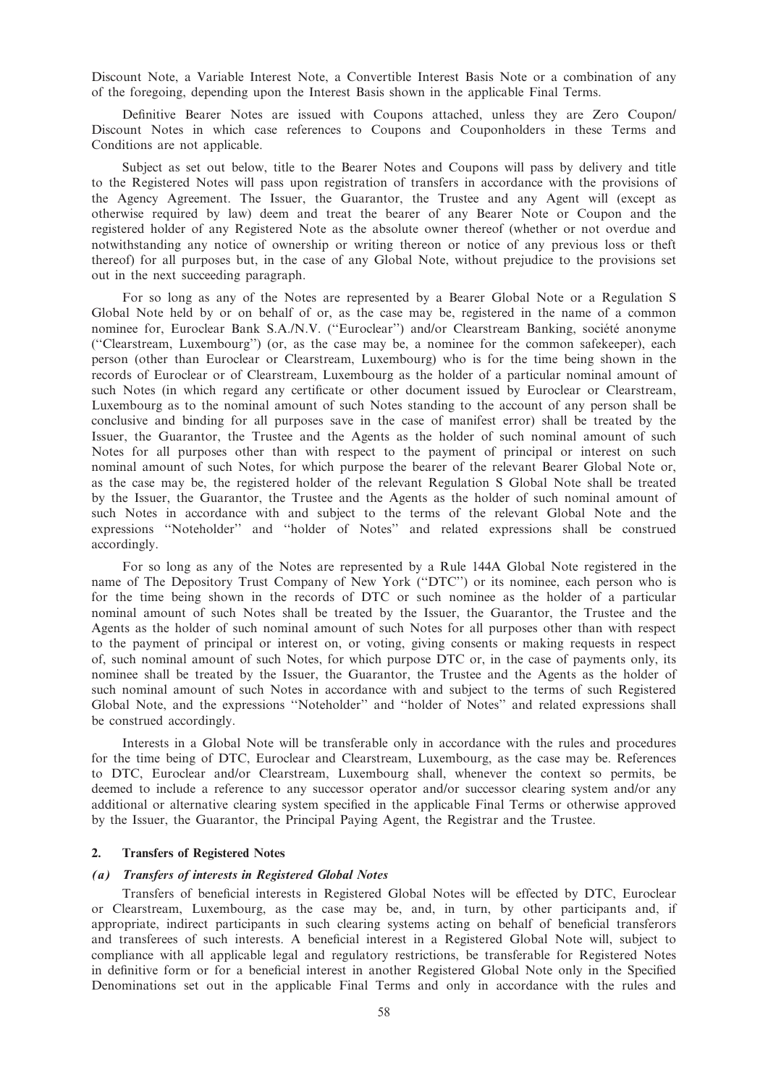Discount Note, a Variable Interest Note, a Convertible Interest Basis Note or a combination of any of the foregoing, depending upon the Interest Basis shown in the applicable Final Terms.

Definitive Bearer Notes are issued with Coupons attached, unless they are Zero Coupon/ Discount Notes in which case references to Coupons and Couponholders in these Terms and Conditions are not applicable.

Subject as set out below, title to the Bearer Notes and Coupons will pass by delivery and title to the Registered Notes will pass upon registration of transfers in accordance with the provisions of the Agency Agreement. The Issuer, the Guarantor, the Trustee and any Agent will (except as otherwise required by law) deem and treat the bearer of any Bearer Note or Coupon and the registered holder of any Registered Note as the absolute owner thereof (whether or not overdue and notwithstanding any notice of ownership or writing thereon or notice of any previous loss or theft thereof) for all purposes but, in the case of any Global Note, without prejudice to the provisions set out in the next succeeding paragraph.

For so long as any of the Notes are represented by a Bearer Global Note or a Regulation S Global Note held by or on behalf of or, as the case may be, registered in the name of a common nominee for, Euroclear Bank S.A./N.V. ("Euroclear") and/or Clearstream Banking, société anonyme (''Clearstream, Luxembourg'') (or, as the case may be, a nominee for the common safekeeper), each person (other than Euroclear or Clearstream, Luxembourg) who is for the time being shown in the records of Euroclear or of Clearstream, Luxembourg as the holder of a particular nominal amount of such Notes (in which regard any certificate or other document issued by Euroclear or Clearstream, Luxembourg as to the nominal amount of such Notes standing to the account of any person shall be conclusive and binding for all purposes save in the case of manifest error) shall be treated by the Issuer, the Guarantor, the Trustee and the Agents as the holder of such nominal amount of such Notes for all purposes other than with respect to the payment of principal or interest on such nominal amount of such Notes, for which purpose the bearer of the relevant Bearer Global Note or, as the case may be, the registered holder of the relevant Regulation S Global Note shall be treated by the Issuer, the Guarantor, the Trustee and the Agents as the holder of such nominal amount of such Notes in accordance with and subject to the terms of the relevant Global Note and the expressions ''Noteholder'' and ''holder of Notes'' and related expressions shall be construed accordingly.

For so long as any of the Notes are represented by a Rule 144A Global Note registered in the name of The Depository Trust Company of New York (''DTC'') or its nominee, each person who is for the time being shown in the records of DTC or such nominee as the holder of a particular nominal amount of such Notes shall be treated by the Issuer, the Guarantor, the Trustee and the Agents as the holder of such nominal amount of such Notes for all purposes other than with respect to the payment of principal or interest on, or voting, giving consents or making requests in respect of, such nominal amount of such Notes, for which purpose DTC or, in the case of payments only, its nominee shall be treated by the Issuer, the Guarantor, the Trustee and the Agents as the holder of such nominal amount of such Notes in accordance with and subject to the terms of such Registered Global Note, and the expressions ''Noteholder'' and ''holder of Notes'' and related expressions shall be construed accordingly.

Interests in a Global Note will be transferable only in accordance with the rules and procedures for the time being of DTC, Euroclear and Clearstream, Luxembourg, as the case may be. References to DTC, Euroclear and/or Clearstream, Luxembourg shall, whenever the context so permits, be deemed to include a reference to any successor operator and/or successor clearing system and/or any additional or alternative clearing system specified in the applicable Final Terms or otherwise approved by the Issuer, the Guarantor, the Principal Paying Agent, the Registrar and the Trustee.

## 2. Transfers of Registered Notes

#### (a) Transfers of interests in Registered Global Notes

Transfers of beneficial interests in Registered Global Notes will be effected by DTC, Euroclear or Clearstream, Luxembourg, as the case may be, and, in turn, by other participants and, if appropriate, indirect participants in such clearing systems acting on behalf of beneficial transferors and transferees of such interests. A beneficial interest in a Registered Global Note will, subject to compliance with all applicable legal and regulatory restrictions, be transferable for Registered Notes in definitive form or for a beneficial interest in another Registered Global Note only in the Specified Denominations set out in the applicable Final Terms and only in accordance with the rules and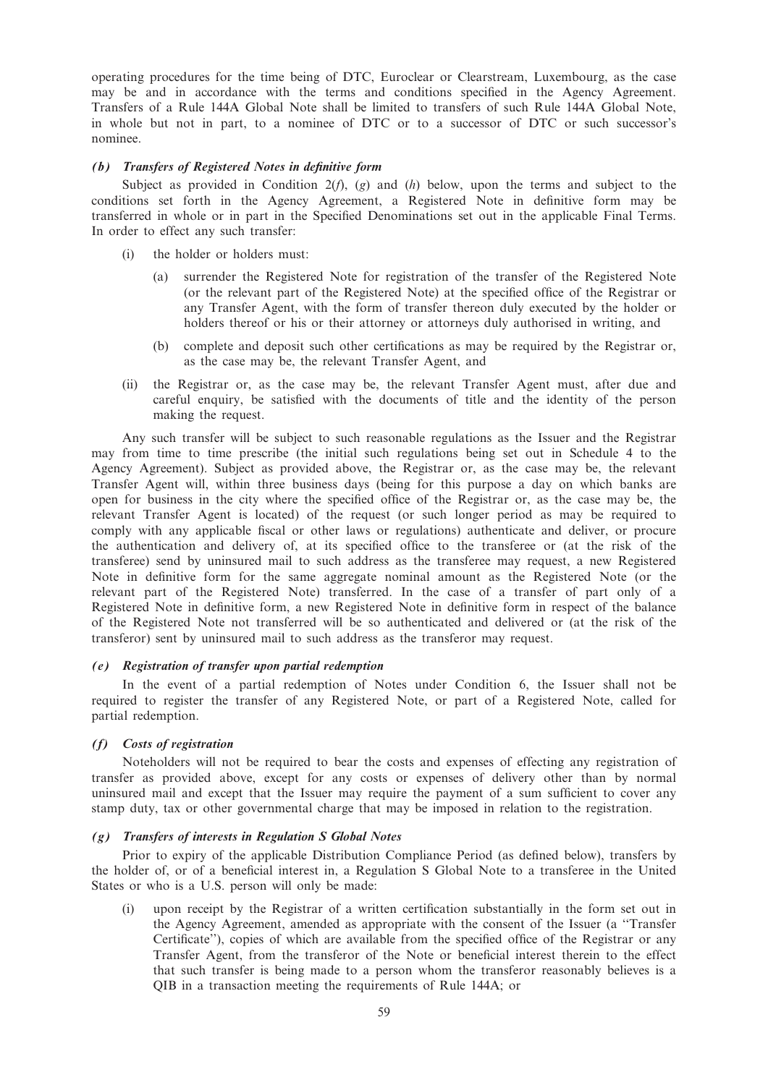operating procedures for the time being of DTC, Euroclear or Clearstream, Luxembourg, as the case may be and in accordance with the terms and conditions specified in the Agency Agreement. Transfers of a Rule 144A Global Note shall be limited to transfers of such Rule 144A Global Note, in whole but not in part, to a nominee of DTC or to a successor of DTC or such successor's nominee.

# (b) Transfers of Registered Notes in definitive form

Subject as provided in Condition  $2(f)$ , (g) and (h) below, upon the terms and subject to the conditions set forth in the Agency Agreement, a Registered Note in definitive form may be transferred in whole or in part in the Specified Denominations set out in the applicable Final Terms. In order to effect any such transfer:

- (i) the holder or holders must:
	- (a) surrender the Registered Note for registration of the transfer of the Registered Note (or the relevant part of the Registered Note) at the specified office of the Registrar or any Transfer Agent, with the form of transfer thereon duly executed by the holder or holders thereof or his or their attorney or attorneys duly authorised in writing, and
	- (b) complete and deposit such other certifications as may be required by the Registrar or, as the case may be, the relevant Transfer Agent, and
- (ii) the Registrar or, as the case may be, the relevant Transfer Agent must, after due and careful enquiry, be satisfied with the documents of title and the identity of the person making the request.

Any such transfer will be subject to such reasonable regulations as the Issuer and the Registrar may from time to time prescribe (the initial such regulations being set out in Schedule 4 to the Agency Agreement). Subject as provided above, the Registrar or, as the case may be, the relevant Transfer Agent will, within three business days (being for this purpose a day on which banks are open for business in the city where the specified office of the Registrar or, as the case may be, the relevant Transfer Agent is located) of the request (or such longer period as may be required to comply with any applicable fiscal or other laws or regulations) authenticate and deliver, or procure the authentication and delivery of, at its specified office to the transferee or (at the risk of the transferee) send by uninsured mail to such address as the transferee may request, a new Registered Note in definitive form for the same aggregate nominal amount as the Registered Note (or the relevant part of the Registered Note) transferred. In the case of a transfer of part only of a Registered Note in definitive form, a new Registered Note in definitive form in respect of the balance of the Registered Note not transferred will be so authenticated and delivered or (at the risk of the transferor) sent by uninsured mail to such address as the transferor may request.

### (e) Registration of transfer upon partial redemption

In the event of a partial redemption of Notes under Condition 6, the Issuer shall not be required to register the transfer of any Registered Note, or part of a Registered Note, called for partial redemption.

# (f) Costs of registration

Noteholders will not be required to bear the costs and expenses of effecting any registration of transfer as provided above, except for any costs or expenses of delivery other than by normal uninsured mail and except that the Issuer may require the payment of a sum sufficient to cover any stamp duty, tax or other governmental charge that may be imposed in relation to the registration.

### (g) Transfers of interests in Regulation S Global Notes

Prior to expiry of the applicable Distribution Compliance Period (as defined below), transfers by the holder of, or of a beneficial interest in, a Regulation S Global Note to a transferee in the United States or who is a U.S. person will only be made:

(i) upon receipt by the Registrar of a written certification substantially in the form set out in the Agency Agreement, amended as appropriate with the consent of the Issuer (a ''Transfer Certificate''), copies of which are available from the specified office of the Registrar or any Transfer Agent, from the transferor of the Note or beneficial interest therein to the effect that such transfer is being made to a person whom the transferor reasonably believes is a QIB in a transaction meeting the requirements of Rule 144A; or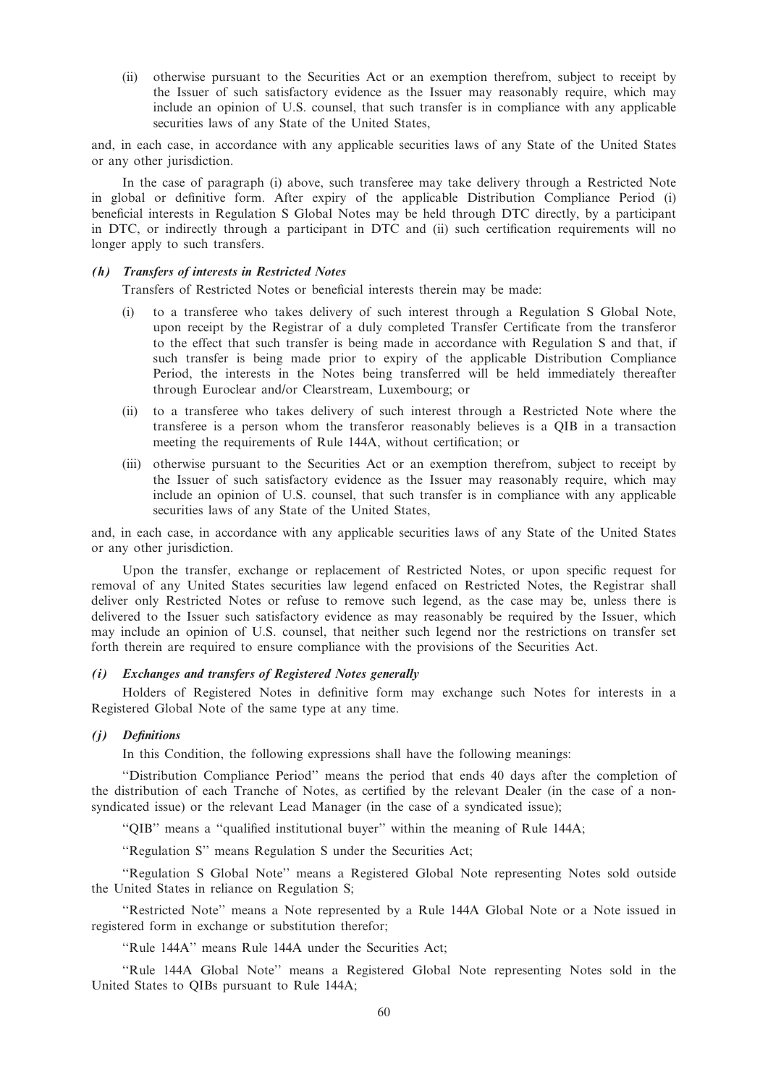(ii) otherwise pursuant to the Securities Act or an exemption therefrom, subject to receipt by the Issuer of such satisfactory evidence as the Issuer may reasonably require, which may include an opinion of U.S. counsel, that such transfer is in compliance with any applicable securities laws of any State of the United States,

and, in each case, in accordance with any applicable securities laws of any State of the United States or any other jurisdiction.

In the case of paragraph (i) above, such transferee may take delivery through a Restricted Note in global or definitive form. After expiry of the applicable Distribution Compliance Period (i) beneficial interests in Regulation S Global Notes may be held through DTC directly, by a participant in DTC, or indirectly through a participant in DTC and (ii) such certification requirements will no longer apply to such transfers.

#### (h) Transfers of interests in Restricted Notes

Transfers of Restricted Notes or beneficial interests therein may be made:

- (i) to a transferee who takes delivery of such interest through a Regulation S Global Note, upon receipt by the Registrar of a duly completed Transfer Certificate from the transferor to the effect that such transfer is being made in accordance with Regulation S and that, if such transfer is being made prior to expiry of the applicable Distribution Compliance Period, the interests in the Notes being transferred will be held immediately thereafter through Euroclear and/or Clearstream, Luxembourg; or
- (ii) to a transferee who takes delivery of such interest through a Restricted Note where the transferee is a person whom the transferor reasonably believes is a QIB in a transaction meeting the requirements of Rule 144A, without certification; or
- (iii) otherwise pursuant to the Securities Act or an exemption therefrom, subject to receipt by the Issuer of such satisfactory evidence as the Issuer may reasonably require, which may include an opinion of U.S. counsel, that such transfer is in compliance with any applicable securities laws of any State of the United States,

and, in each case, in accordance with any applicable securities laws of any State of the United States or any other jurisdiction.

Upon the transfer, exchange or replacement of Restricted Notes, or upon specific request for removal of any United States securities law legend enfaced on Restricted Notes, the Registrar shall deliver only Restricted Notes or refuse to remove such legend, as the case may be, unless there is delivered to the Issuer such satisfactory evidence as may reasonably be required by the Issuer, which may include an opinion of U.S. counsel, that neither such legend nor the restrictions on transfer set forth therein are required to ensure compliance with the provisions of the Securities Act.

# (i) Exchanges and transfers of Registered Notes generally

Holders of Registered Notes in definitive form may exchange such Notes for interests in a Registered Global Note of the same type at any time.

## (j) Definitions

In this Condition, the following expressions shall have the following meanings:

''Distribution Compliance Period'' means the period that ends 40 days after the completion of the distribution of each Tranche of Notes, as certified by the relevant Dealer (in the case of a nonsyndicated issue) or the relevant Lead Manager (in the case of a syndicated issue);

''QIB'' means a ''qualified institutional buyer'' within the meaning of Rule 144A;

''Regulation S'' means Regulation S under the Securities Act;

''Regulation S Global Note'' means a Registered Global Note representing Notes sold outside the United States in reliance on Regulation S;

''Restricted Note'' means a Note represented by a Rule 144A Global Note or a Note issued in registered form in exchange or substitution therefor;

''Rule 144A'' means Rule 144A under the Securities Act;

''Rule 144A Global Note'' means a Registered Global Note representing Notes sold in the United States to QIBs pursuant to Rule 144A;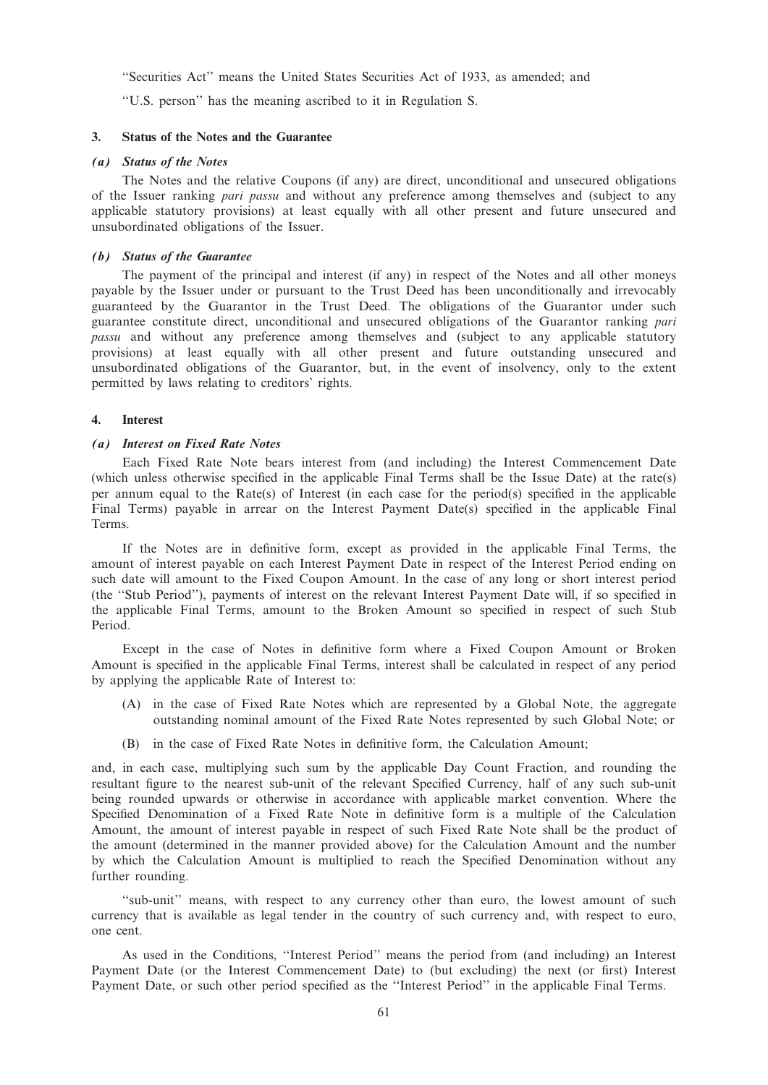''Securities Act'' means the United States Securities Act of 1933, as amended; and

''U.S. person'' has the meaning ascribed to it in Regulation S.

## 3. Status of the Notes and the Guarantee

### (a) Status of the Notes

The Notes and the relative Coupons (if any) are direct, unconditional and unsecured obligations of the Issuer ranking *pari passu* and without any preference among themselves and (subject to any applicable statutory provisions) at least equally with all other present and future unsecured and unsubordinated obligations of the Issuer.

### (b) Status of the Guarantee

The payment of the principal and interest (if any) in respect of the Notes and all other moneys payable by the Issuer under or pursuant to the Trust Deed has been unconditionally and irrevocably guaranteed by the Guarantor in the Trust Deed. The obligations of the Guarantor under such guarantee constitute direct, unconditional and unsecured obligations of the Guarantor ranking pari passu and without any preference among themselves and (subject to any applicable statutory provisions) at least equally with all other present and future outstanding unsecured and unsubordinated obligations of the Guarantor, but, in the event of insolvency, only to the extent permitted by laws relating to creditors' rights.

### 4. Interest

## (a) Interest on Fixed Rate Notes

Each Fixed Rate Note bears interest from (and including) the Interest Commencement Date (which unless otherwise specified in the applicable Final Terms shall be the Issue Date) at the rate(s) per annum equal to the Rate(s) of Interest (in each case for the period(s) specified in the applicable Final Terms) payable in arrear on the Interest Payment Date(s) specified in the applicable Final Terms.

If the Notes are in definitive form, except as provided in the applicable Final Terms, the amount of interest payable on each Interest Payment Date in respect of the Interest Period ending on such date will amount to the Fixed Coupon Amount. In the case of any long or short interest period (the ''Stub Period''), payments of interest on the relevant Interest Payment Date will, if so specified in the applicable Final Terms, amount to the Broken Amount so specified in respect of such Stub Period.

Except in the case of Notes in definitive form where a Fixed Coupon Amount or Broken Amount is specified in the applicable Final Terms, interest shall be calculated in respect of any period by applying the applicable Rate of Interest to:

- (A) in the case of Fixed Rate Notes which are represented by a Global Note, the aggregate outstanding nominal amount of the Fixed Rate Notes represented by such Global Note; or
- (B) in the case of Fixed Rate Notes in definitive form, the Calculation Amount;

and, in each case, multiplying such sum by the applicable Day Count Fraction, and rounding the resultant figure to the nearest sub-unit of the relevant Specified Currency, half of any such sub-unit being rounded upwards or otherwise in accordance with applicable market convention. Where the Specified Denomination of a Fixed Rate Note in definitive form is a multiple of the Calculation Amount, the amount of interest payable in respect of such Fixed Rate Note shall be the product of the amount (determined in the manner provided above) for the Calculation Amount and the number by which the Calculation Amount is multiplied to reach the Specified Denomination without any further rounding.

''sub-unit'' means, with respect to any currency other than euro, the lowest amount of such currency that is available as legal tender in the country of such currency and, with respect to euro, one cent.

As used in the Conditions, ''Interest Period'' means the period from (and including) an Interest Payment Date (or the Interest Commencement Date) to (but excluding) the next (or first) Interest Payment Date, or such other period specified as the ''Interest Period'' in the applicable Final Terms.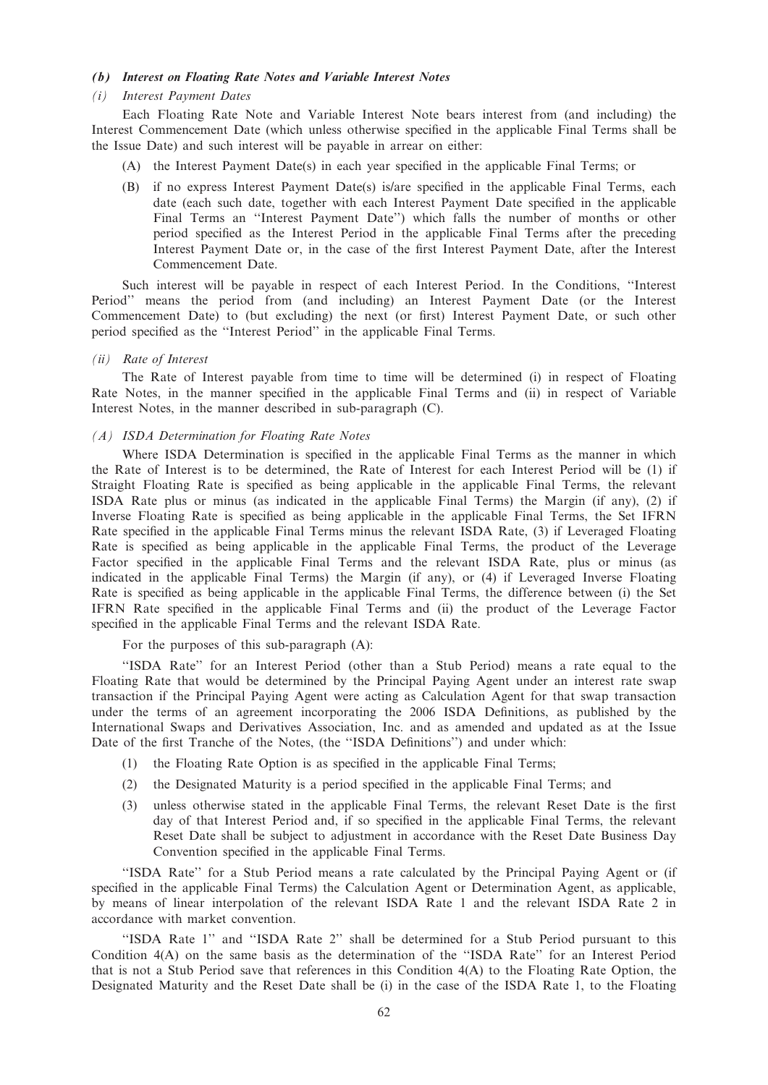### (b) Interest on Floating Rate Notes and Variable Interest Notes

#### (i) Interest Payment Dates

Each Floating Rate Note and Variable Interest Note bears interest from (and including) the Interest Commencement Date (which unless otherwise specified in the applicable Final Terms shall be the Issue Date) and such interest will be payable in arrear on either:

- (A) the Interest Payment Date(s) in each year specified in the applicable Final Terms; or
- (B) if no express Interest Payment Date(s) is/are specified in the applicable Final Terms, each date (each such date, together with each Interest Payment Date specified in the applicable Final Terms an ''Interest Payment Date'') which falls the number of months or other period specified as the Interest Period in the applicable Final Terms after the preceding Interest Payment Date or, in the case of the first Interest Payment Date, after the Interest Commencement Date.

Such interest will be payable in respect of each Interest Period. In the Conditions, ''Interest Period'' means the period from (and including) an Interest Payment Date (or the Interest Commencement Date) to (but excluding) the next (or first) Interest Payment Date, or such other period specified as the ''Interest Period'' in the applicable Final Terms.

## (ii) Rate of Interest

The Rate of Interest payable from time to time will be determined (i) in respect of Floating Rate Notes, in the manner specified in the applicable Final Terms and (ii) in respect of Variable Interest Notes, in the manner described in sub-paragraph (C).

#### (A) ISDA Determination for Floating Rate Notes

Where ISDA Determination is specified in the applicable Final Terms as the manner in which the Rate of Interest is to be determined, the Rate of Interest for each Interest Period will be (1) if Straight Floating Rate is specified as being applicable in the applicable Final Terms, the relevant ISDA Rate plus or minus (as indicated in the applicable Final Terms) the Margin (if any), (2) if Inverse Floating Rate is specified as being applicable in the applicable Final Terms, the Set IFRN Rate specified in the applicable Final Terms minus the relevant ISDA Rate, (3) if Leveraged Floating Rate is specified as being applicable in the applicable Final Terms, the product of the Leverage Factor specified in the applicable Final Terms and the relevant ISDA Rate, plus or minus (as indicated in the applicable Final Terms) the Margin (if any), or (4) if Leveraged Inverse Floating Rate is specified as being applicable in the applicable Final Terms, the difference between (i) the Set IFRN Rate specified in the applicable Final Terms and (ii) the product of the Leverage Factor specified in the applicable Final Terms and the relevant ISDA Rate.

For the purposes of this sub-paragraph (A):

''ISDA Rate'' for an Interest Period (other than a Stub Period) means a rate equal to the Floating Rate that would be determined by the Principal Paying Agent under an interest rate swap transaction if the Principal Paying Agent were acting as Calculation Agent for that swap transaction under the terms of an agreement incorporating the 2006 ISDA Definitions, as published by the International Swaps and Derivatives Association, Inc. and as amended and updated as at the Issue Date of the first Tranche of the Notes, (the ''ISDA Definitions'') and under which:

- (1) the Floating Rate Option is as specified in the applicable Final Terms;
- (2) the Designated Maturity is a period specified in the applicable Final Terms; and
- (3) unless otherwise stated in the applicable Final Terms, the relevant Reset Date is the first day of that Interest Period and, if so specified in the applicable Final Terms, the relevant Reset Date shall be subject to adjustment in accordance with the Reset Date Business Day Convention specified in the applicable Final Terms.

''ISDA Rate'' for a Stub Period means a rate calculated by the Principal Paying Agent or (if specified in the applicable Final Terms) the Calculation Agent or Determination Agent, as applicable, by means of linear interpolation of the relevant ISDA Rate 1 and the relevant ISDA Rate 2 in accordance with market convention.

''ISDA Rate 1'' and ''ISDA Rate 2'' shall be determined for a Stub Period pursuant to this Condition 4(A) on the same basis as the determination of the ''ISDA Rate'' for an Interest Period that is not a Stub Period save that references in this Condition 4(A) to the Floating Rate Option, the Designated Maturity and the Reset Date shall be (i) in the case of the ISDA Rate 1, to the Floating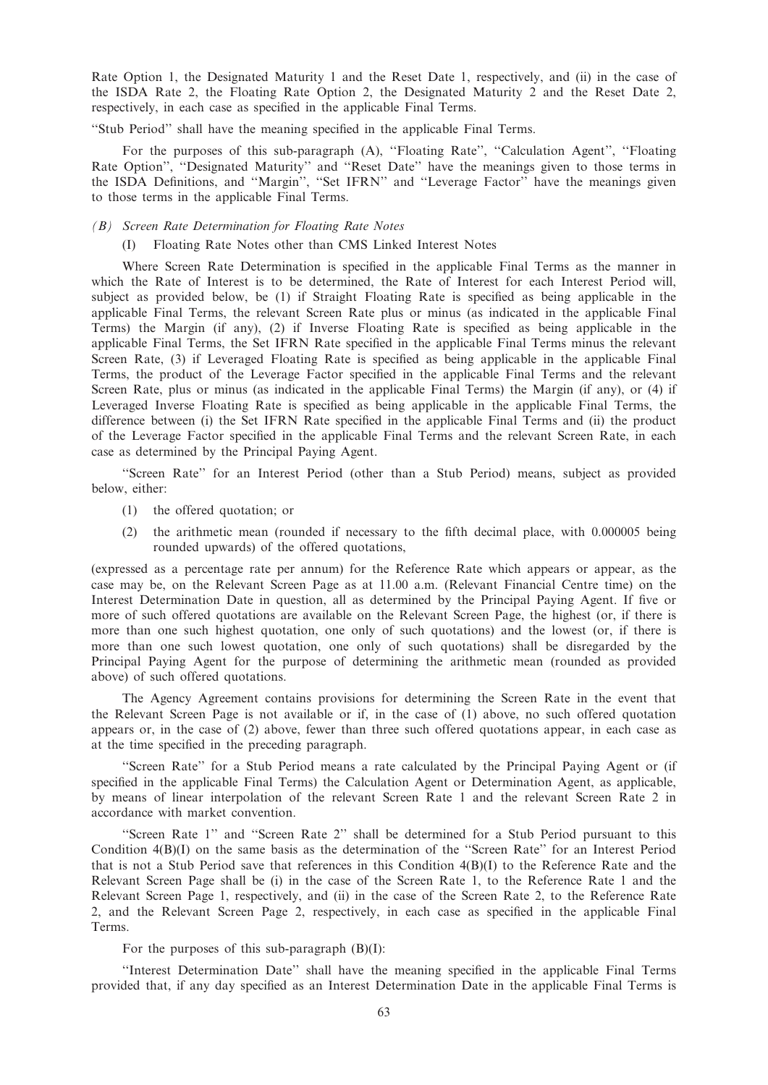Rate Option 1, the Designated Maturity 1 and the Reset Date 1, respectively, and (ii) in the case of the ISDA Rate 2, the Floating Rate Option 2, the Designated Maturity 2 and the Reset Date 2, respectively, in each case as specified in the applicable Final Terms.

''Stub Period'' shall have the meaning specified in the applicable Final Terms.

For the purposes of this sub-paragraph (A), "Floating Rate", "Calculation Agent", "Floating Rate Option'', ''Designated Maturity'' and ''Reset Date'' have the meanings given to those terms in the ISDA Definitions, and ''Margin'', ''Set IFRN'' and ''Leverage Factor'' have the meanings given to those terms in the applicable Final Terms.

### (B) Screen Rate Determination for Floating Rate Notes

(I) Floating Rate Notes other than CMS Linked Interest Notes

Where Screen Rate Determination is specified in the applicable Final Terms as the manner in which the Rate of Interest is to be determined, the Rate of Interest for each Interest Period will, subject as provided below, be (1) if Straight Floating Rate is specified as being applicable in the applicable Final Terms, the relevant Screen Rate plus or minus (as indicated in the applicable Final Terms) the Margin (if any), (2) if Inverse Floating Rate is specified as being applicable in the applicable Final Terms, the Set IFRN Rate specified in the applicable Final Terms minus the relevant Screen Rate, (3) if Leveraged Floating Rate is specified as being applicable in the applicable Final Terms, the product of the Leverage Factor specified in the applicable Final Terms and the relevant Screen Rate, plus or minus (as indicated in the applicable Final Terms) the Margin (if any), or (4) if Leveraged Inverse Floating Rate is specified as being applicable in the applicable Final Terms, the difference between (i) the Set IFRN Rate specified in the applicable Final Terms and (ii) the product of the Leverage Factor specified in the applicable Final Terms and the relevant Screen Rate, in each case as determined by the Principal Paying Agent.

''Screen Rate'' for an Interest Period (other than a Stub Period) means, subject as provided below, either:

- (1) the offered quotation; or
- (2) the arithmetic mean (rounded if necessary to the fifth decimal place, with 0.000005 being rounded upwards) of the offered quotations,

(expressed as a percentage rate per annum) for the Reference Rate which appears or appear, as the case may be, on the Relevant Screen Page as at 11.00 a.m. (Relevant Financial Centre time) on the Interest Determination Date in question, all as determined by the Principal Paying Agent. If five or more of such offered quotations are available on the Relevant Screen Page, the highest (or, if there is more than one such highest quotation, one only of such quotations) and the lowest (or, if there is more than one such lowest quotation, one only of such quotations) shall be disregarded by the Principal Paying Agent for the purpose of determining the arithmetic mean (rounded as provided above) of such offered quotations.

The Agency Agreement contains provisions for determining the Screen Rate in the event that the Relevant Screen Page is not available or if, in the case of (1) above, no such offered quotation appears or, in the case of (2) above, fewer than three such offered quotations appear, in each case as at the time specified in the preceding paragraph.

''Screen Rate'' for a Stub Period means a rate calculated by the Principal Paying Agent or (if specified in the applicable Final Terms) the Calculation Agent or Determination Agent, as applicable, by means of linear interpolation of the relevant Screen Rate 1 and the relevant Screen Rate 2 in accordance with market convention.

''Screen Rate 1'' and ''Screen Rate 2'' shall be determined for a Stub Period pursuant to this Condition 4(B)(I) on the same basis as the determination of the ''Screen Rate'' for an Interest Period that is not a Stub Period save that references in this Condition 4(B)(I) to the Reference Rate and the Relevant Screen Page shall be (i) in the case of the Screen Rate 1, to the Reference Rate 1 and the Relevant Screen Page 1, respectively, and (ii) in the case of the Screen Rate 2, to the Reference Rate 2, and the Relevant Screen Page 2, respectively, in each case as specified in the applicable Final Terms.

For the purposes of this sub-paragraph  $(B)(I)$ :

''Interest Determination Date'' shall have the meaning specified in the applicable Final Terms provided that, if any day specified as an Interest Determination Date in the applicable Final Terms is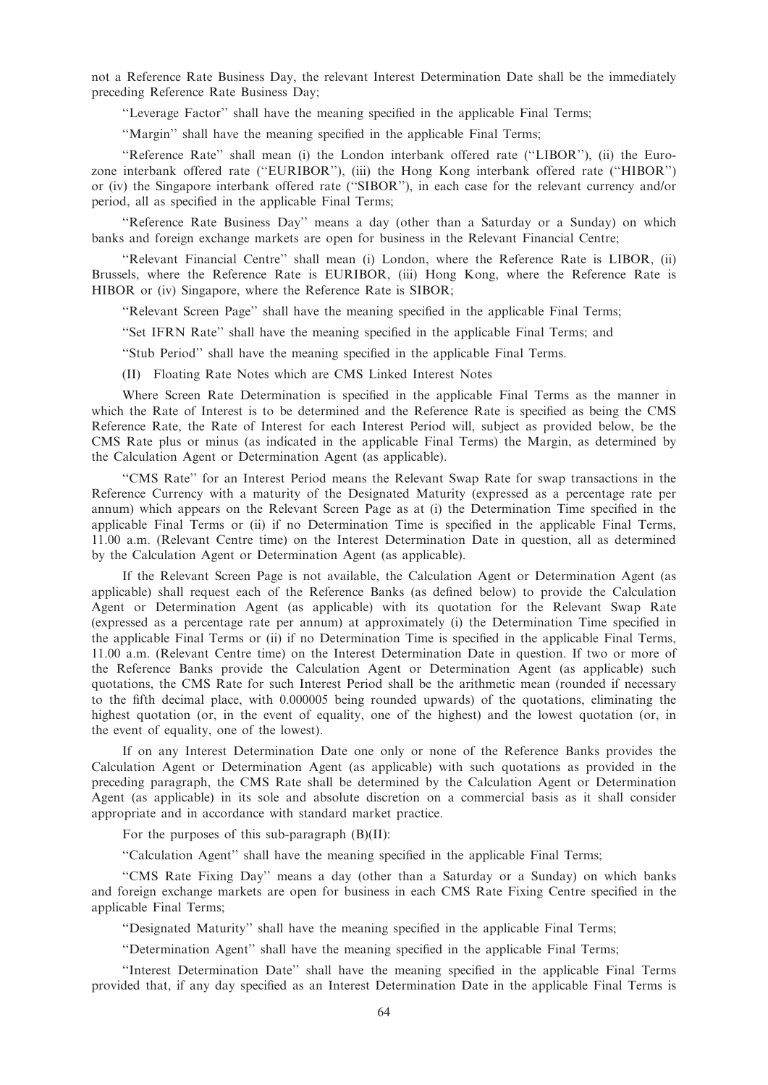not a Reference Rate Business Day, the relevant Interest Determination Date shall be the immediately preceding Reference Rate Business Day;

''Leverage Factor'' shall have the meaning specified in the applicable Final Terms;

''Margin'' shall have the meaning specified in the applicable Final Terms;

''Reference Rate'' shall mean (i) the London interbank offered rate (''LIBOR''), (ii) the Eurozone interbank offered rate (''EURIBOR''), (iii) the Hong Kong interbank offered rate (''HIBOR'') or (iv) the Singapore interbank offered rate (''SIBOR''), in each case for the relevant currency and/or period, all as specified in the applicable Final Terms;

''Reference Rate Business Day'' means a day (other than a Saturday or a Sunday) on which banks and foreign exchange markets are open for business in the Relevant Financial Centre;

''Relevant Financial Centre'' shall mean (i) London, where the Reference Rate is LIBOR, (ii) Brussels, where the Reference Rate is EURIBOR, (iii) Hong Kong, where the Reference Rate is HIBOR or (iv) Singapore, where the Reference Rate is SIBOR;

''Relevant Screen Page'' shall have the meaning specified in the applicable Final Terms;

''Set IFRN Rate'' shall have the meaning specified in the applicable Final Terms; and

''Stub Period'' shall have the meaning specified in the applicable Final Terms.

(II) Floating Rate Notes which are CMS Linked Interest Notes

Where Screen Rate Determination is specified in the applicable Final Terms as the manner in which the Rate of Interest is to be determined and the Reference Rate is specified as being the CMS Reference Rate, the Rate of Interest for each Interest Period will, subject as provided below, be the CMS Rate plus or minus (as indicated in the applicable Final Terms) the Margin, as determined by the Calculation Agent or Determination Agent (as applicable).

''CMS Rate'' for an Interest Period means the Relevant Swap Rate for swap transactions in the Reference Currency with a maturity of the Designated Maturity (expressed as a percentage rate per annum) which appears on the Relevant Screen Page as at (i) the Determination Time specified in the applicable Final Terms or (ii) if no Determination Time is specified in the applicable Final Terms, 11.00 a.m. (Relevant Centre time) on the Interest Determination Date in question, all as determined by the Calculation Agent or Determination Agent (as applicable).

If the Relevant Screen Page is not available, the Calculation Agent or Determination Agent (as applicable) shall request each of the Reference Banks (as defined below) to provide the Calculation Agent or Determination Agent (as applicable) with its quotation for the Relevant Swap Rate (expressed as a percentage rate per annum) at approximately (i) the Determination Time specified in the applicable Final Terms or (ii) if no Determination Time is specified in the applicable Final Terms, 11.00 a.m. (Relevant Centre time) on the Interest Determination Date in question. If two or more of the Reference Banks provide the Calculation Agent or Determination Agent (as applicable) such quotations, the CMS Rate for such Interest Period shall be the arithmetic mean (rounded if necessary to the fifth decimal place, with 0.000005 being rounded upwards) of the quotations, eliminating the highest quotation (or, in the event of equality, one of the highest) and the lowest quotation (or, in the event of equality, one of the lowest).

If on any Interest Determination Date one only or none of the Reference Banks provides the Calculation Agent or Determination Agent (as applicable) with such quotations as provided in the preceding paragraph, the CMS Rate shall be determined by the Calculation Agent or Determination Agent (as applicable) in its sole and absolute discretion on a commercial basis as it shall consider appropriate and in accordance with standard market practice.

For the purposes of this sub-paragraph (B)(II):

''Calculation Agent'' shall have the meaning specified in the applicable Final Terms;

''CMS Rate Fixing Day'' means a day (other than a Saturday or a Sunday) on which banks and foreign exchange markets are open for business in each CMS Rate Fixing Centre specified in the applicable Final Terms;

''Designated Maturity'' shall have the meaning specified in the applicable Final Terms;

''Determination Agent'' shall have the meaning specified in the applicable Final Terms;

''Interest Determination Date'' shall have the meaning specified in the applicable Final Terms provided that, if any day specified as an Interest Determination Date in the applicable Final Terms is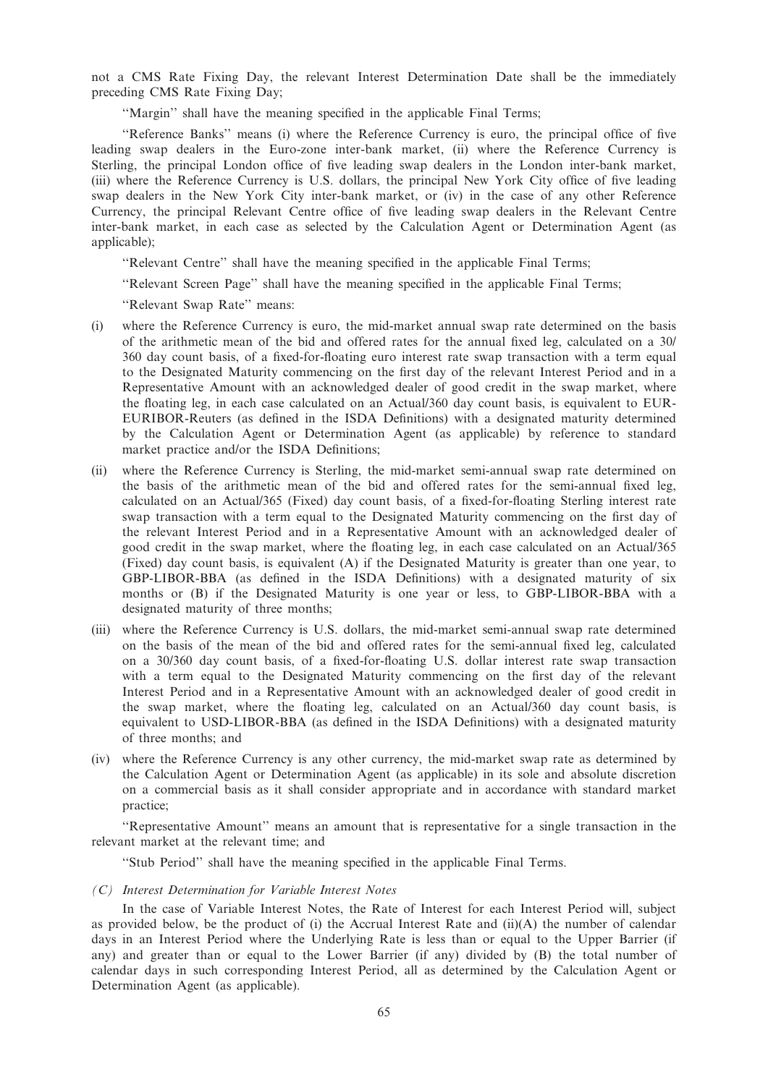not a CMS Rate Fixing Day, the relevant Interest Determination Date shall be the immediately preceding CMS Rate Fixing Day;

"Margin" shall have the meaning specified in the applicable Final Terms;

''Reference Banks'' means (i) where the Reference Currency is euro, the principal office of five leading swap dealers in the Euro-zone inter-bank market, (ii) where the Reference Currency is Sterling, the principal London office of five leading swap dealers in the London inter-bank market, (iii) where the Reference Currency is U.S. dollars, the principal New York City office of five leading swap dealers in the New York City inter-bank market, or (iv) in the case of any other Reference Currency, the principal Relevant Centre office of five leading swap dealers in the Relevant Centre inter-bank market, in each case as selected by the Calculation Agent or Determination Agent (as applicable);

''Relevant Centre'' shall have the meaning specified in the applicable Final Terms;

''Relevant Screen Page'' shall have the meaning specified in the applicable Final Terms;

''Relevant Swap Rate'' means:

- (i) where the Reference Currency is euro, the mid-market annual swap rate determined on the basis of the arithmetic mean of the bid and offered rates for the annual fixed leg, calculated on a 30/ 360 day count basis, of a fixed-for-floating euro interest rate swap transaction with a term equal to the Designated Maturity commencing on the first day of the relevant Interest Period and in a Representative Amount with an acknowledged dealer of good credit in the swap market, where the floating leg, in each case calculated on an Actual/360 day count basis, is equivalent to EUR-EURIBOR-Reuters (as defined in the ISDA Definitions) with a designated maturity determined by the Calculation Agent or Determination Agent (as applicable) by reference to standard market practice and/or the ISDA Definitions;
- (ii) where the Reference Currency is Sterling, the mid-market semi-annual swap rate determined on the basis of the arithmetic mean of the bid and offered rates for the semi-annual fixed leg, calculated on an Actual/365 (Fixed) day count basis, of a fixed-for-floating Sterling interest rate swap transaction with a term equal to the Designated Maturity commencing on the first day of the relevant Interest Period and in a Representative Amount with an acknowledged dealer of good credit in the swap market, where the floating leg, in each case calculated on an Actual/365 (Fixed) day count basis, is equivalent (A) if the Designated Maturity is greater than one year, to GBP-LIBOR-BBA (as defined in the ISDA Definitions) with a designated maturity of six months or (B) if the Designated Maturity is one year or less, to GBP-LIBOR-BBA with a designated maturity of three months;
- (iii) where the Reference Currency is U.S. dollars, the mid-market semi-annual swap rate determined on the basis of the mean of the bid and offered rates for the semi-annual fixed leg, calculated on a 30/360 day count basis, of a fixed-for-floating U.S. dollar interest rate swap transaction with a term equal to the Designated Maturity commencing on the first day of the relevant Interest Period and in a Representative Amount with an acknowledged dealer of good credit in the swap market, where the floating leg, calculated on an Actual/360 day count basis, is equivalent to USD-LIBOR-BBA (as defined in the ISDA Definitions) with a designated maturity of three months; and
- (iv) where the Reference Currency is any other currency, the mid-market swap rate as determined by the Calculation Agent or Determination Agent (as applicable) in its sole and absolute discretion on a commercial basis as it shall consider appropriate and in accordance with standard market practice;

''Representative Amount'' means an amount that is representative for a single transaction in the relevant market at the relevant time; and

''Stub Period'' shall have the meaning specified in the applicable Final Terms.

(C) Interest Determination for Variable Interest Notes

In the case of Variable Interest Notes, the Rate of Interest for each Interest Period will, subject as provided below, be the product of (i) the Accrual Interest Rate and (ii)(A) the number of calendar days in an Interest Period where the Underlying Rate is less than or equal to the Upper Barrier (if any) and greater than or equal to the Lower Barrier (if any) divided by (B) the total number of calendar days in such corresponding Interest Period, all as determined by the Calculation Agent or Determination Agent (as applicable).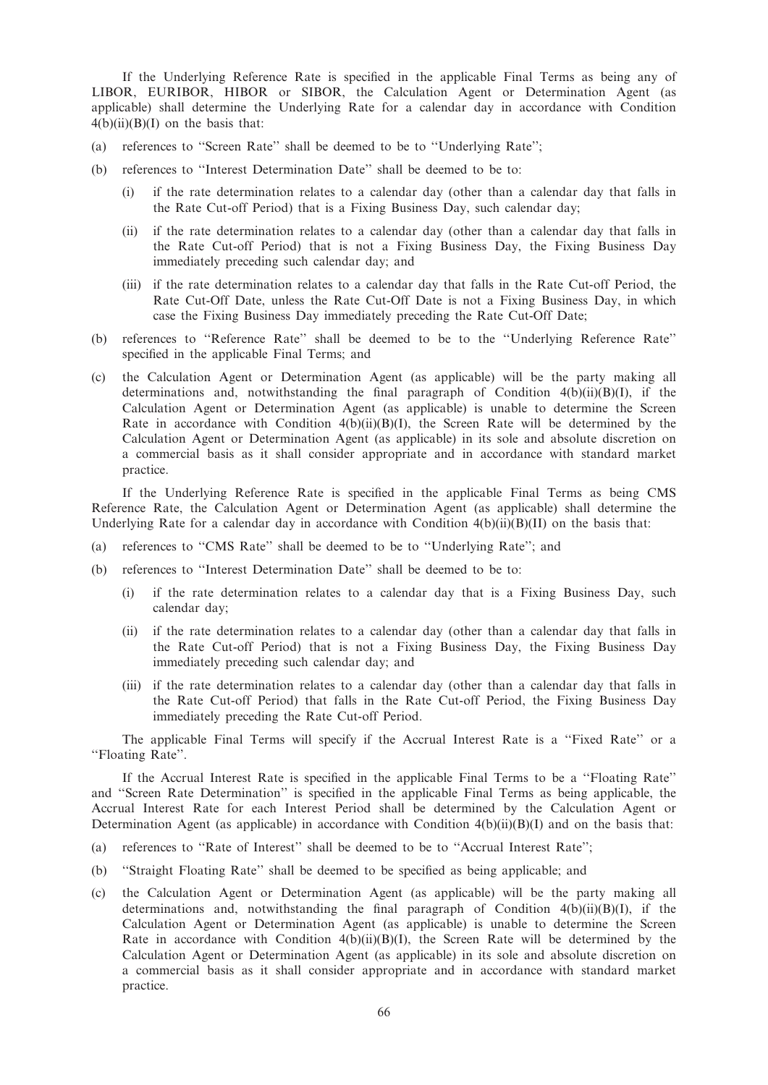If the Underlying Reference Rate is specified in the applicable Final Terms as being any of LIBOR, EURIBOR, HIBOR or SIBOR, the Calculation Agent or Determination Agent (as applicable) shall determine the Underlying Rate for a calendar day in accordance with Condition  $4(b)(ii)(B)(I)$  on the basis that:

- (a) references to ''Screen Rate'' shall be deemed to be to ''Underlying Rate'';
- (b) references to ''Interest Determination Date'' shall be deemed to be to:
	- (i) if the rate determination relates to a calendar day (other than a calendar day that falls in the Rate Cut-off Period) that is a Fixing Business Day, such calendar day;
	- (ii) if the rate determination relates to a calendar day (other than a calendar day that falls in the Rate Cut-off Period) that is not a Fixing Business Day, the Fixing Business Day immediately preceding such calendar day; and
	- (iii) if the rate determination relates to a calendar day that falls in the Rate Cut-off Period, the Rate Cut-Off Date, unless the Rate Cut-Off Date is not a Fixing Business Day, in which case the Fixing Business Day immediately preceding the Rate Cut-Off Date;
- (b) references to ''Reference Rate'' shall be deemed to be to the ''Underlying Reference Rate'' specified in the applicable Final Terms; and
- (c) the Calculation Agent or Determination Agent (as applicable) will be the party making all determinations and, notwithstanding the final paragraph of Condition  $4(b)(ii)(B)(I)$ , if the Calculation Agent or Determination Agent (as applicable) is unable to determine the Screen Rate in accordance with Condition  $4(b)(ii)(B)(I)$ , the Screen Rate will be determined by the Calculation Agent or Determination Agent (as applicable) in its sole and absolute discretion on a commercial basis as it shall consider appropriate and in accordance with standard market practice.

If the Underlying Reference Rate is specified in the applicable Final Terms as being CMS Reference Rate, the Calculation Agent or Determination Agent (as applicable) shall determine the Underlying Rate for a calendar day in accordance with Condition  $4(b)(ii)(B)(II)$  on the basis that:

- (a) references to ''CMS Rate'' shall be deemed to be to ''Underlying Rate''; and
- (b) references to ''Interest Determination Date'' shall be deemed to be to:
	- (i) if the rate determination relates to a calendar day that is a Fixing Business Day, such calendar day;
	- (ii) if the rate determination relates to a calendar day (other than a calendar day that falls in the Rate Cut-off Period) that is not a Fixing Business Day, the Fixing Business Day immediately preceding such calendar day; and
	- (iii) if the rate determination relates to a calendar day (other than a calendar day that falls in the Rate Cut-off Period) that falls in the Rate Cut-off Period, the Fixing Business Day immediately preceding the Rate Cut-off Period.

The applicable Final Terms will specify if the Accrual Interest Rate is a ''Fixed Rate'' or a ''Floating Rate''.

If the Accrual Interest Rate is specified in the applicable Final Terms to be a ''Floating Rate'' and ''Screen Rate Determination'' is specified in the applicable Final Terms as being applicable, the Accrual Interest Rate for each Interest Period shall be determined by the Calculation Agent or Determination Agent (as applicable) in accordance with Condition  $4(b)(ii)(B)(I)$  and on the basis that:

- (a) references to ''Rate of Interest'' shall be deemed to be to ''Accrual Interest Rate'';
- (b) ''Straight Floating Rate'' shall be deemed to be specified as being applicable; and
- (c) the Calculation Agent or Determination Agent (as applicable) will be the party making all determinations and, notwithstanding the final paragraph of Condition  $4(b)(ii)(B)(I)$ , if the Calculation Agent or Determination Agent (as applicable) is unable to determine the Screen Rate in accordance with Condition  $4(b)(ii)(B)(I)$ , the Screen Rate will be determined by the Calculation Agent or Determination Agent (as applicable) in its sole and absolute discretion on a commercial basis as it shall consider appropriate and in accordance with standard market practice.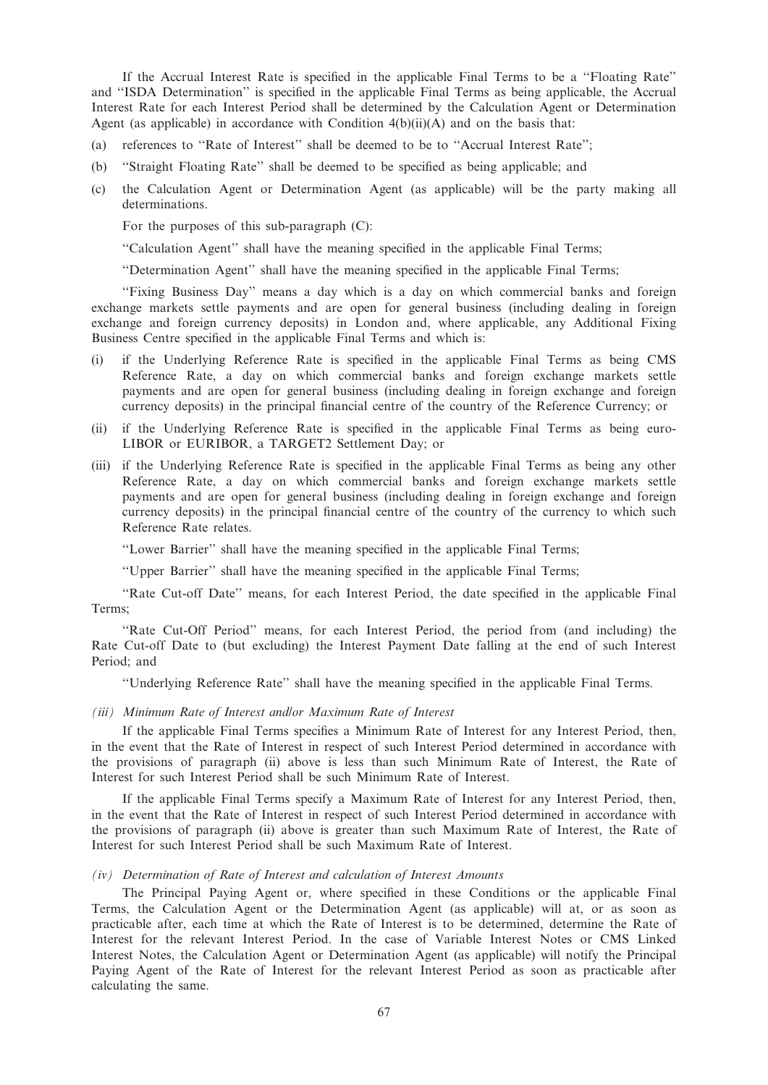If the Accrual Interest Rate is specified in the applicable Final Terms to be a ''Floating Rate'' and ''ISDA Determination'' is specified in the applicable Final Terms as being applicable, the Accrual Interest Rate for each Interest Period shall be determined by the Calculation Agent or Determination Agent (as applicable) in accordance with Condition  $4(b)(ii)(A)$  and on the basis that:

- (a) references to ''Rate of Interest'' shall be deemed to be to ''Accrual Interest Rate'';
- (b) ''Straight Floating Rate'' shall be deemed to be specified as being applicable; and
- (c) the Calculation Agent or Determination Agent (as applicable) will be the party making all determinations.

For the purposes of this sub-paragraph (C):

''Calculation Agent'' shall have the meaning specified in the applicable Final Terms;

''Determination Agent'' shall have the meaning specified in the applicable Final Terms;

''Fixing Business Day'' means a day which is a day on which commercial banks and foreign exchange markets settle payments and are open for general business (including dealing in foreign exchange and foreign currency deposits) in London and, where applicable, any Additional Fixing Business Centre specified in the applicable Final Terms and which is:

- (i) if the Underlying Reference Rate is specified in the applicable Final Terms as being CMS Reference Rate, a day on which commercial banks and foreign exchange markets settle payments and are open for general business (including dealing in foreign exchange and foreign currency deposits) in the principal financial centre of the country of the Reference Currency; or
- (ii) if the Underlying Reference Rate is specified in the applicable Final Terms as being euro-LIBOR or EURIBOR, a TARGET2 Settlement Day; or
- (iii) if the Underlying Reference Rate is specified in the applicable Final Terms as being any other Reference Rate, a day on which commercial banks and foreign exchange markets settle payments and are open for general business (including dealing in foreign exchange and foreign currency deposits) in the principal financial centre of the country of the currency to which such Reference Rate relates.

''Lower Barrier'' shall have the meaning specified in the applicable Final Terms;

''Upper Barrier'' shall have the meaning specified in the applicable Final Terms;

''Rate Cut-off Date'' means, for each Interest Period, the date specified in the applicable Final Terms;

''Rate Cut-Off Period'' means, for each Interest Period, the period from (and including) the Rate Cut-off Date to (but excluding) the Interest Payment Date falling at the end of such Interest Period; and

''Underlying Reference Rate'' shall have the meaning specified in the applicable Final Terms.

## (iii) Minimum Rate of Interest and/or Maximum Rate of Interest

If the applicable Final Terms specifies a Minimum Rate of Interest for any Interest Period, then, in the event that the Rate of Interest in respect of such Interest Period determined in accordance with the provisions of paragraph (ii) above is less than such Minimum Rate of Interest, the Rate of Interest for such Interest Period shall be such Minimum Rate of Interest.

If the applicable Final Terms specify a Maximum Rate of Interest for any Interest Period, then, in the event that the Rate of Interest in respect of such Interest Period determined in accordance with the provisions of paragraph (ii) above is greater than such Maximum Rate of Interest, the Rate of Interest for such Interest Period shall be such Maximum Rate of Interest.

#### (iv) Determination of Rate of Interest and calculation of Interest Amounts

The Principal Paying Agent or, where specified in these Conditions or the applicable Final Terms, the Calculation Agent or the Determination Agent (as applicable) will at, or as soon as practicable after, each time at which the Rate of Interest is to be determined, determine the Rate of Interest for the relevant Interest Period. In the case of Variable Interest Notes or CMS Linked Interest Notes, the Calculation Agent or Determination Agent (as applicable) will notify the Principal Paying Agent of the Rate of Interest for the relevant Interest Period as soon as practicable after calculating the same.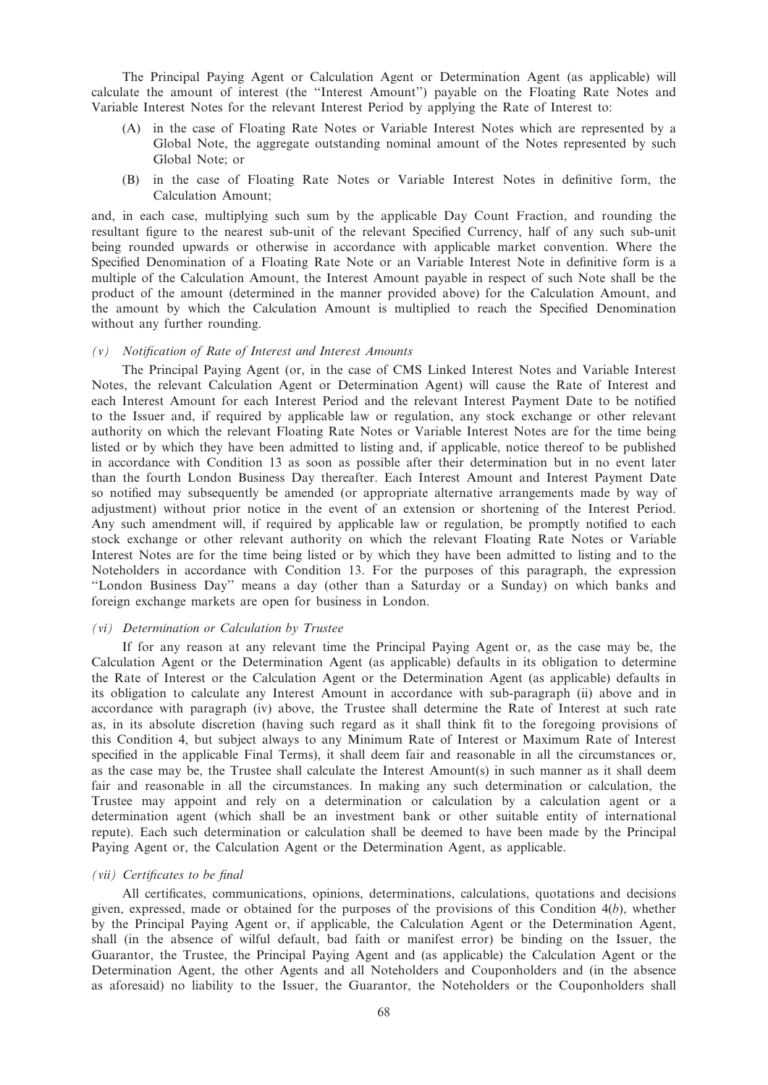The Principal Paying Agent or Calculation Agent or Determination Agent (as applicable) will calculate the amount of interest (the ''Interest Amount'') payable on the Floating Rate Notes and Variable Interest Notes for the relevant Interest Period by applying the Rate of Interest to:

- (A) in the case of Floating Rate Notes or Variable Interest Notes which are represented by a Global Note, the aggregate outstanding nominal amount of the Notes represented by such Global Note; or
- (B) in the case of Floating Rate Notes or Variable Interest Notes in definitive form, the Calculation Amount;

and, in each case, multiplying such sum by the applicable Day Count Fraction, and rounding the resultant figure to the nearest sub-unit of the relevant Specified Currency, half of any such sub-unit being rounded upwards or otherwise in accordance with applicable market convention. Where the Specified Denomination of a Floating Rate Note or an Variable Interest Note in definitive form is a multiple of the Calculation Amount, the Interest Amount payable in respect of such Note shall be the product of the amount (determined in the manner provided above) for the Calculation Amount, and the amount by which the Calculation Amount is multiplied to reach the Specified Denomination without any further rounding.

## (v) Notification of Rate of Interest and Interest Amounts

The Principal Paying Agent (or, in the case of CMS Linked Interest Notes and Variable Interest Notes, the relevant Calculation Agent or Determination Agent) will cause the Rate of Interest and each Interest Amount for each Interest Period and the relevant Interest Payment Date to be notified to the Issuer and, if required by applicable law or regulation, any stock exchange or other relevant authority on which the relevant Floating Rate Notes or Variable Interest Notes are for the time being listed or by which they have been admitted to listing and, if applicable, notice thereof to be published in accordance with Condition 13 as soon as possible after their determination but in no event later than the fourth London Business Day thereafter. Each Interest Amount and Interest Payment Date so notified may subsequently be amended (or appropriate alternative arrangements made by way of adjustment) without prior notice in the event of an extension or shortening of the Interest Period. Any such amendment will, if required by applicable law or regulation, be promptly notified to each stock exchange or other relevant authority on which the relevant Floating Rate Notes or Variable Interest Notes are for the time being listed or by which they have been admitted to listing and to the Noteholders in accordance with Condition 13. For the purposes of this paragraph, the expression ''London Business Day'' means a day (other than a Saturday or a Sunday) on which banks and foreign exchange markets are open for business in London.

# (vi) Determination or Calculation by Trustee

If for any reason at any relevant time the Principal Paying Agent or, as the case may be, the Calculation Agent or the Determination Agent (as applicable) defaults in its obligation to determine the Rate of Interest or the Calculation Agent or the Determination Agent (as applicable) defaults in its obligation to calculate any Interest Amount in accordance with sub-paragraph (ii) above and in accordance with paragraph (iv) above, the Trustee shall determine the Rate of Interest at such rate as, in its absolute discretion (having such regard as it shall think fit to the foregoing provisions of this Condition 4, but subject always to any Minimum Rate of Interest or Maximum Rate of Interest specified in the applicable Final Terms), it shall deem fair and reasonable in all the circumstances or, as the case may be, the Trustee shall calculate the Interest Amount(s) in such manner as it shall deem fair and reasonable in all the circumstances. In making any such determination or calculation, the Trustee may appoint and rely on a determination or calculation by a calculation agent or a determination agent (which shall be an investment bank or other suitable entity of international repute). Each such determination or calculation shall be deemed to have been made by the Principal Paying Agent or, the Calculation Agent or the Determination Agent, as applicable.

#### (vii) Certificates to be final

All certificates, communications, opinions, determinations, calculations, quotations and decisions given, expressed, made or obtained for the purposes of the provisions of this Condition 4(b), whether by the Principal Paying Agent or, if applicable, the Calculation Agent or the Determination Agent, shall (in the absence of wilful default, bad faith or manifest error) be binding on the Issuer, the Guarantor, the Trustee, the Principal Paying Agent and (as applicable) the Calculation Agent or the Determination Agent, the other Agents and all Noteholders and Couponholders and (in the absence as aforesaid) no liability to the Issuer, the Guarantor, the Noteholders or the Couponholders shall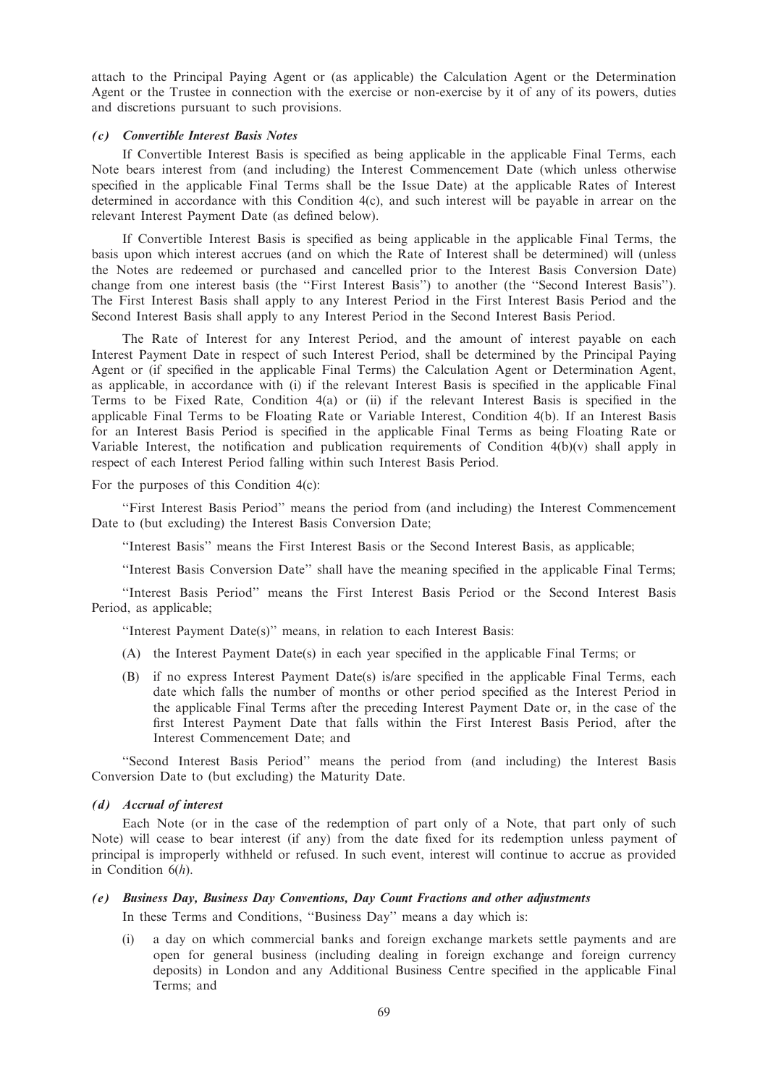attach to the Principal Paying Agent or (as applicable) the Calculation Agent or the Determination Agent or the Trustee in connection with the exercise or non-exercise by it of any of its powers, duties and discretions pursuant to such provisions.

#### (c) Convertible Interest Basis Notes

If Convertible Interest Basis is specified as being applicable in the applicable Final Terms, each Note bears interest from (and including) the Interest Commencement Date (which unless otherwise specified in the applicable Final Terms shall be the Issue Date) at the applicable Rates of Interest determined in accordance with this Condition 4(c), and such interest will be payable in arrear on the relevant Interest Payment Date (as defined below).

If Convertible Interest Basis is specified as being applicable in the applicable Final Terms, the basis upon which interest accrues (and on which the Rate of Interest shall be determined) will (unless the Notes are redeemed or purchased and cancelled prior to the Interest Basis Conversion Date) change from one interest basis (the ''First Interest Basis'') to another (the ''Second Interest Basis''). The First Interest Basis shall apply to any Interest Period in the First Interest Basis Period and the Second Interest Basis shall apply to any Interest Period in the Second Interest Basis Period.

The Rate of Interest for any Interest Period, and the amount of interest payable on each Interest Payment Date in respect of such Interest Period, shall be determined by the Principal Paying Agent or (if specified in the applicable Final Terms) the Calculation Agent or Determination Agent, as applicable, in accordance with (i) if the relevant Interest Basis is specified in the applicable Final Terms to be Fixed Rate, Condition 4(a) or (ii) if the relevant Interest Basis is specified in the applicable Final Terms to be Floating Rate or Variable Interest, Condition 4(b). If an Interest Basis for an Interest Basis Period is specified in the applicable Final Terms as being Floating Rate or Variable Interest, the notification and publication requirements of Condition  $4(b)(v)$  shall apply in respect of each Interest Period falling within such Interest Basis Period.

For the purposes of this Condition 4(c):

''First Interest Basis Period'' means the period from (and including) the Interest Commencement Date to (but excluding) the Interest Basis Conversion Date;

''Interest Basis'' means the First Interest Basis or the Second Interest Basis, as applicable;

''Interest Basis Conversion Date'' shall have the meaning specified in the applicable Final Terms;

''Interest Basis Period'' means the First Interest Basis Period or the Second Interest Basis Period, as applicable;

''Interest Payment Date(s)'' means, in relation to each Interest Basis:

- (A) the Interest Payment Date(s) in each year specified in the applicable Final Terms; or
- (B) if no express Interest Payment Date(s) is/are specified in the applicable Final Terms, each date which falls the number of months or other period specified as the Interest Period in the applicable Final Terms after the preceding Interest Payment Date or, in the case of the first Interest Payment Date that falls within the First Interest Basis Period, after the Interest Commencement Date; and

"Second Interest Basis Period" means the period from (and including) the Interest Basis Conversion Date to (but excluding) the Maturity Date.

### (d) Accrual of interest

Each Note (or in the case of the redemption of part only of a Note, that part only of such Note) will cease to bear interest (if any) from the date fixed for its redemption unless payment of principal is improperly withheld or refused. In such event, interest will continue to accrue as provided in Condition  $6(h)$ .

# (e) Business Day, Business Day Conventions, Day Count Fractions and other adjustments

In these Terms and Conditions, ''Business Day'' means a day which is:

(i) a day on which commercial banks and foreign exchange markets settle payments and are open for general business (including dealing in foreign exchange and foreign currency deposits) in London and any Additional Business Centre specified in the applicable Final Terms; and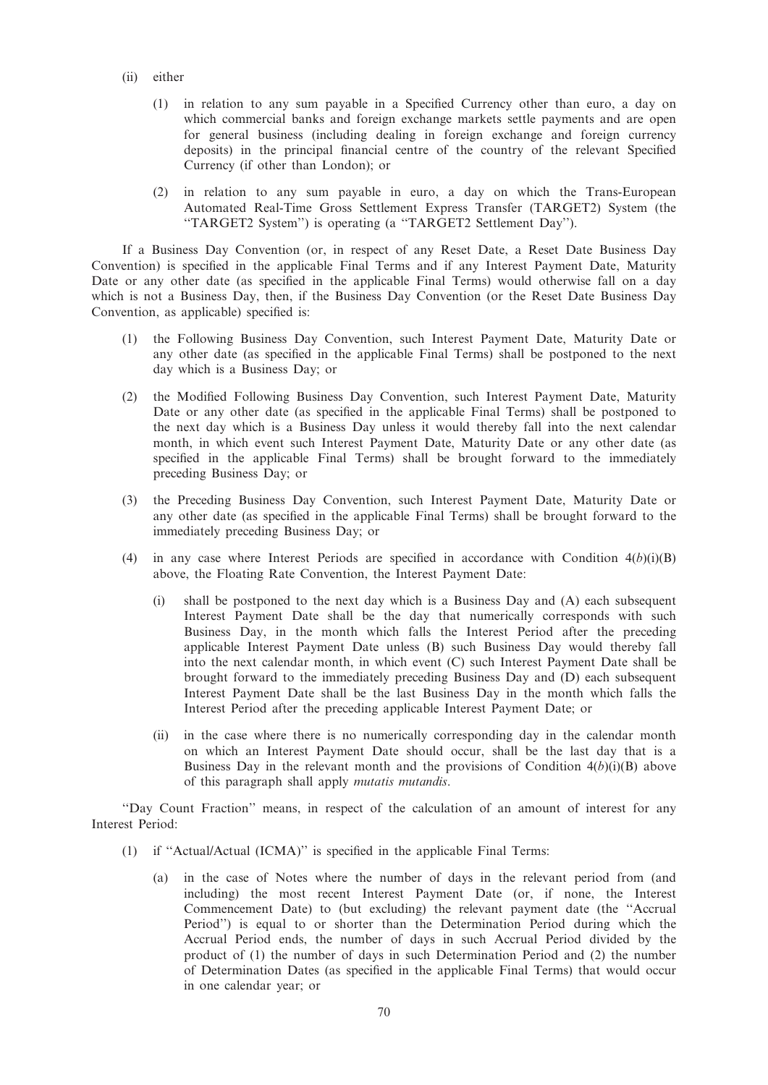- (ii) either
	- (1) in relation to any sum payable in a Specified Currency other than euro, a day on which commercial banks and foreign exchange markets settle payments and are open for general business (including dealing in foreign exchange and foreign currency deposits) in the principal financial centre of the country of the relevant Specified Currency (if other than London); or
	- (2) in relation to any sum payable in euro, a day on which the Trans-European Automated Real-Time Gross Settlement Express Transfer (TARGET2) System (the ''TARGET2 System'') is operating (a ''TARGET2 Settlement Day'').

If a Business Day Convention (or, in respect of any Reset Date, a Reset Date Business Day Convention) is specified in the applicable Final Terms and if any Interest Payment Date, Maturity Date or any other date (as specified in the applicable Final Terms) would otherwise fall on a day which is not a Business Day, then, if the Business Day Convention (or the Reset Date Business Day Convention, as applicable) specified is:

- (1) the Following Business Day Convention, such Interest Payment Date, Maturity Date or any other date (as specified in the applicable Final Terms) shall be postponed to the next day which is a Business Day; or
- (2) the Modified Following Business Day Convention, such Interest Payment Date, Maturity Date or any other date (as specified in the applicable Final Terms) shall be postponed to the next day which is a Business Day unless it would thereby fall into the next calendar month, in which event such Interest Payment Date, Maturity Date or any other date (as specified in the applicable Final Terms) shall be brought forward to the immediately preceding Business Day; or
- (3) the Preceding Business Day Convention, such Interest Payment Date, Maturity Date or any other date (as specified in the applicable Final Terms) shall be brought forward to the immediately preceding Business Day; or
- (4) in any case where Interest Periods are specified in accordance with Condition  $4(b)(i)(B)$ above, the Floating Rate Convention, the Interest Payment Date:
	- (i) shall be postponed to the next day which is a Business Day and (A) each subsequent Interest Payment Date shall be the day that numerically corresponds with such Business Day, in the month which falls the Interest Period after the preceding applicable Interest Payment Date unless (B) such Business Day would thereby fall into the next calendar month, in which event (C) such Interest Payment Date shall be brought forward to the immediately preceding Business Day and (D) each subsequent Interest Payment Date shall be the last Business Day in the month which falls the Interest Period after the preceding applicable Interest Payment Date; or
	- (ii) in the case where there is no numerically corresponding day in the calendar month on which an Interest Payment Date should occur, shall be the last day that is a Business Day in the relevant month and the provisions of Condition  $4(b)(i)(B)$  above of this paragraph shall apply mutatis mutandis.

''Day Count Fraction'' means, in respect of the calculation of an amount of interest for any Interest Period:

- (1) if ''Actual/Actual (ICMA)'' is specified in the applicable Final Terms:
	- (a) in the case of Notes where the number of days in the relevant period from (and including) the most recent Interest Payment Date (or, if none, the Interest Commencement Date) to (but excluding) the relevant payment date (the ''Accrual Period'') is equal to or shorter than the Determination Period during which the Accrual Period ends, the number of days in such Accrual Period divided by the product of (1) the number of days in such Determination Period and (2) the number of Determination Dates (as specified in the applicable Final Terms) that would occur in one calendar year; or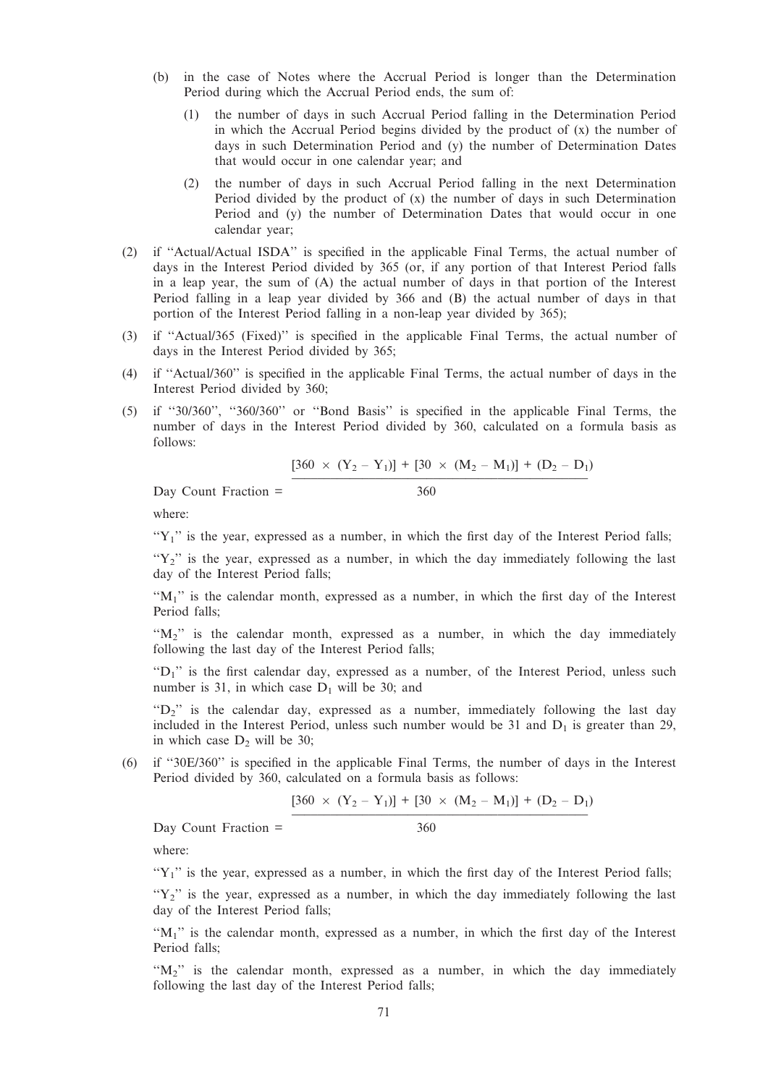- (b) in the case of Notes where the Accrual Period is longer than the Determination Period during which the Accrual Period ends, the sum of:
	- (1) the number of days in such Accrual Period falling in the Determination Period in which the Accrual Period begins divided by the product of  $(x)$  the number of days in such Determination Period and (y) the number of Determination Dates that would occur in one calendar year; and
	- (2) the number of days in such Accrual Period falling in the next Determination Period divided by the product of (x) the number of days in such Determination Period and (y) the number of Determination Dates that would occur in one calendar year;
- (2) if ''Actual/Actual ISDA'' is specified in the applicable Final Terms, the actual number of days in the Interest Period divided by 365 (or, if any portion of that Interest Period falls in a leap year, the sum of (A) the actual number of days in that portion of the Interest Period falling in a leap year divided by 366 and (B) the actual number of days in that portion of the Interest Period falling in a non-leap year divided by 365);
- (3) if ''Actual/365 (Fixed)'' is specified in the applicable Final Terms, the actual number of days in the Interest Period divided by 365;
- (4) if ''Actual/360'' is specified in the applicable Final Terms, the actual number of days in the Interest Period divided by 360;
- (5) if ''30/360'', ''360/360'' or ''Bond Basis'' is specified in the applicable Final Terms, the number of days in the Interest Period divided by 360, calculated on a formula basis as follows:

$$
[360 \times (Y_2 - Y_1)] + [30 \times (M_2 - M_1)] + (D_2 - D_1)
$$

 $Day$  Count Fraction =  $360$ 

where:

 $Y_1$ " is the year, expressed as a number, in which the first day of the Interest Period falls;

" $Y_2$ " is the year, expressed as a number, in which the day immediately following the last day of the Interest Period falls;

" $M_1$ " is the calendar month, expressed as a number, in which the first day of the Interest Period falls;

" $M_2$ " is the calendar month, expressed as a number, in which the day immediately following the last day of the Interest Period falls;

" $D_1$ " is the first calendar day, expressed as a number, of the Interest Period, unless such number is 31, in which case  $D_1$  will be 30; and

" $D_2$ " is the calendar day, expressed as a number, immediately following the last day included in the Interest Period, unless such number would be 31 and  $D_1$  is greater than 29, in which case  $D_2$  will be 30;

(6) if ''30E/360'' is specified in the applicable Final Terms, the number of days in the Interest Period divided by 360, calculated on a formula basis as follows:

$$
[360 \times (Y_2 - Y_1)] + [30 \times (M_2 - M_1)] + (D_2 - D_1)
$$

 $Day$  Count Fraction =  $360$ 

where:

 $Y_1$ " is the year, expressed as a number, in which the first day of the Interest Period falls;

" $Y_2$ " is the year, expressed as a number, in which the day immediately following the last day of the Interest Period falls;

" $M_1$ " is the calendar month, expressed as a number, in which the first day of the Interest Period falls;

" $M_2$ " is the calendar month, expressed as a number, in which the day immediately following the last day of the Interest Period falls;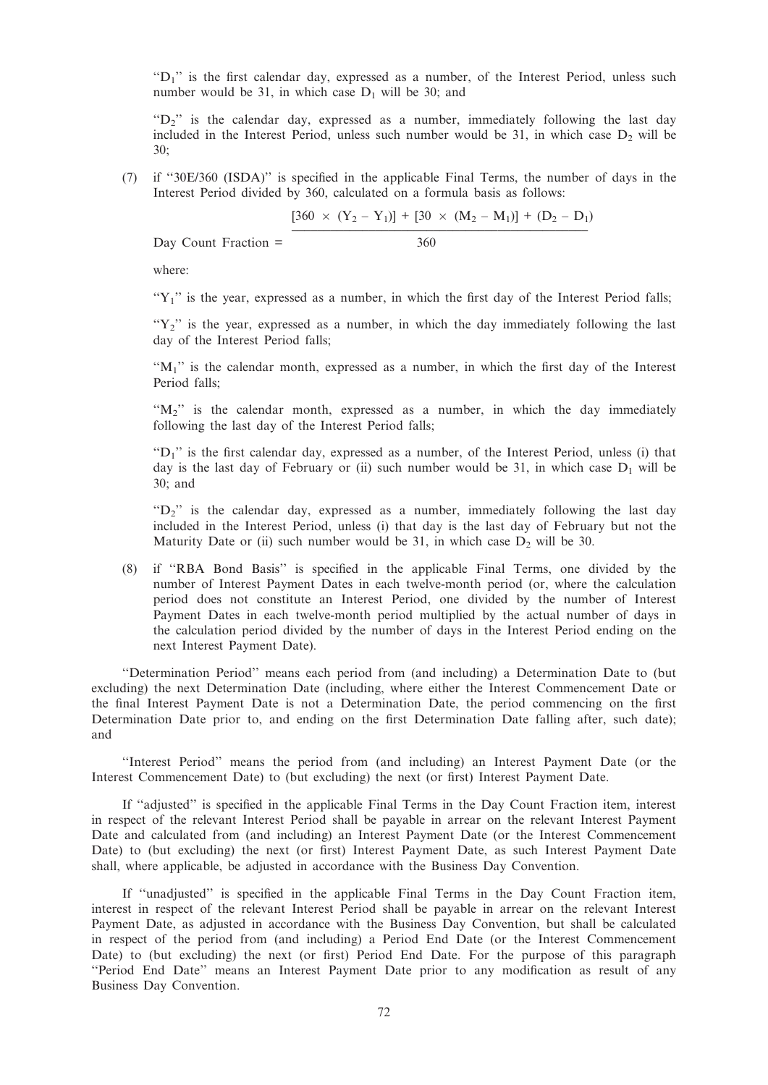"D<sub>1</sub>" is the first calendar day, expressed as a number, of the Interest Period, unless such number would be 31, in which case  $D_1$  will be 30; and

" $D_2$ " is the calendar day, expressed as a number, immediately following the last day included in the Interest Period, unless such number would be  $31$ , in which case  $D<sub>2</sub>$  will be 30;

(7) if ''30E/360 (ISDA)'' is specified in the applicable Final Terms, the number of days in the Interest Period divided by 360, calculated on a formula basis as follows:

$$
[360 \times (Y_2 - Y_1)] + [30 \times (M_2 - M_1)] + (D_2 - D_1)
$$

Day Count Fraction = 360

where:

" $Y_1$ " is the year, expressed as a number, in which the first day of the Interest Period falls;

" $Y_2$ " is the year, expressed as a number, in which the day immediately following the last day of the Interest Period falls;

" $M_1$ " is the calendar month, expressed as a number, in which the first day of the Interest Period falls;

" $M_2$ " is the calendar month, expressed as a number, in which the day immediately following the last day of the Interest Period falls;

 $\mathrm{H}_1$ <sup>"</sup> is the first calendar day, expressed as a number, of the Interest Period, unless (i) that day is the last day of February or (ii) such number would be 31, in which case  $D_1$  will be 30; and

" $D_2$ " is the calendar day, expressed as a number, immediately following the last day included in the Interest Period, unless (i) that day is the last day of February but not the Maturity Date or (ii) such number would be 31, in which case  $D_2$  will be 30.

(8) if ''RBA Bond Basis'' is specified in the applicable Final Terms, one divided by the number of Interest Payment Dates in each twelve-month period (or, where the calculation period does not constitute an Interest Period, one divided by the number of Interest Payment Dates in each twelve-month period multiplied by the actual number of days in the calculation period divided by the number of days in the Interest Period ending on the next Interest Payment Date).

''Determination Period'' means each period from (and including) a Determination Date to (but excluding) the next Determination Date (including, where either the Interest Commencement Date or the final Interest Payment Date is not a Determination Date, the period commencing on the first Determination Date prior to, and ending on the first Determination Date falling after, such date); and

''Interest Period'' means the period from (and including) an Interest Payment Date (or the Interest Commencement Date) to (but excluding) the next (or first) Interest Payment Date.

If ''adjusted'' is specified in the applicable Final Terms in the Day Count Fraction item, interest in respect of the relevant Interest Period shall be payable in arrear on the relevant Interest Payment Date and calculated from (and including) an Interest Payment Date (or the Interest Commencement Date) to (but excluding) the next (or first) Interest Payment Date, as such Interest Payment Date shall, where applicable, be adjusted in accordance with the Business Day Convention.

If ''unadjusted'' is specified in the applicable Final Terms in the Day Count Fraction item, interest in respect of the relevant Interest Period shall be payable in arrear on the relevant Interest Payment Date, as adjusted in accordance with the Business Day Convention, but shall be calculated in respect of the period from (and including) a Period End Date (or the Interest Commencement Date) to (but excluding) the next (or first) Period End Date. For the purpose of this paragraph ''Period End Date'' means an Interest Payment Date prior to any modification as result of any Business Day Convention.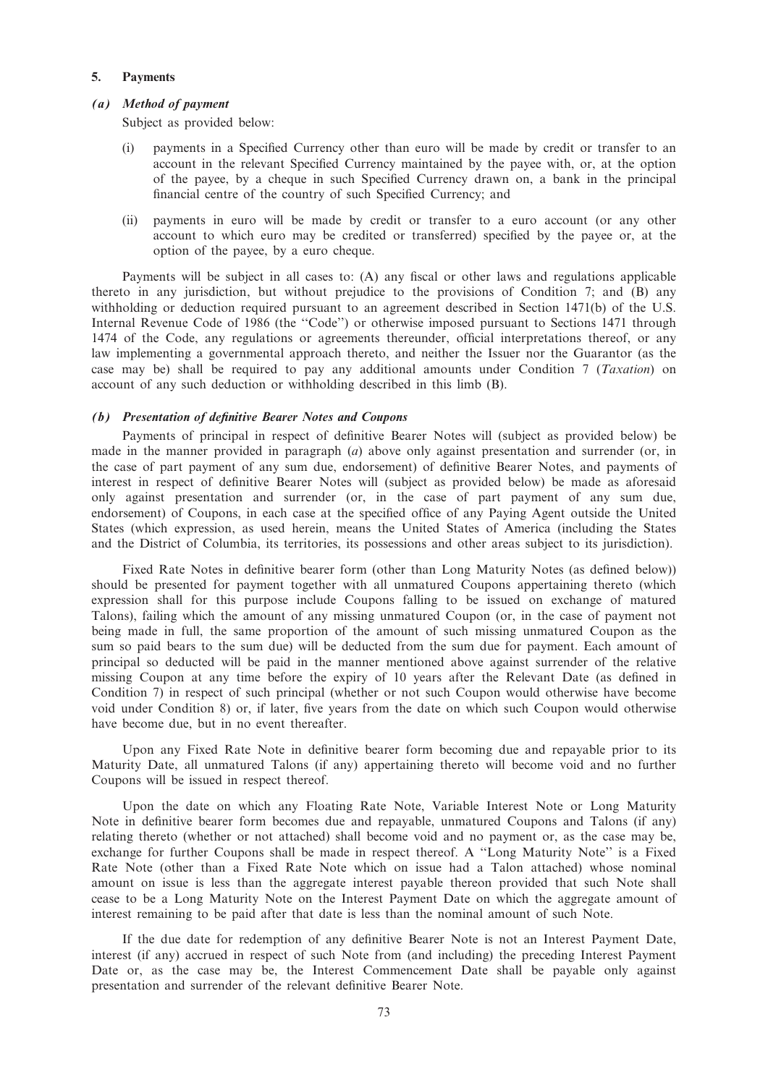## 5. Payments

#### (a) Method of payment

Subject as provided below:

- (i) payments in a Specified Currency other than euro will be made by credit or transfer to an account in the relevant Specified Currency maintained by the payee with, or, at the option of the payee, by a cheque in such Specified Currency drawn on, a bank in the principal financial centre of the country of such Specified Currency; and
- (ii) payments in euro will be made by credit or transfer to a euro account (or any other account to which euro may be credited or transferred) specified by the payee or, at the option of the payee, by a euro cheque.

Payments will be subject in all cases to: (A) any fiscal or other laws and regulations applicable thereto in any jurisdiction, but without prejudice to the provisions of Condition 7; and (B) any withholding or deduction required pursuant to an agreement described in Section 1471(b) of the U.S. Internal Revenue Code of 1986 (the ''Code'') or otherwise imposed pursuant to Sections 1471 through 1474 of the Code, any regulations or agreements thereunder, official interpretations thereof, or any law implementing a governmental approach thereto, and neither the Issuer nor the Guarantor (as the case may be) shall be required to pay any additional amounts under Condition 7 (*Taxation*) on account of any such deduction or withholding described in this limb (B).

## (b) Presentation of definitive Bearer Notes and Coupons

Payments of principal in respect of definitive Bearer Notes will (subject as provided below) be made in the manner provided in paragraph  $(a)$  above only against presentation and surrender (or, in the case of part payment of any sum due, endorsement) of definitive Bearer Notes, and payments of interest in respect of definitive Bearer Notes will (subject as provided below) be made as aforesaid only against presentation and surrender (or, in the case of part payment of any sum due, endorsement) of Coupons, in each case at the specified office of any Paying Agent outside the United States (which expression, as used herein, means the United States of America (including the States and the District of Columbia, its territories, its possessions and other areas subject to its jurisdiction).

Fixed Rate Notes in definitive bearer form (other than Long Maturity Notes (as defined below)) should be presented for payment together with all unmatured Coupons appertaining thereto (which expression shall for this purpose include Coupons falling to be issued on exchange of matured Talons), failing which the amount of any missing unmatured Coupon (or, in the case of payment not being made in full, the same proportion of the amount of such missing unmatured Coupon as the sum so paid bears to the sum due) will be deducted from the sum due for payment. Each amount of principal so deducted will be paid in the manner mentioned above against surrender of the relative missing Coupon at any time before the expiry of 10 years after the Relevant Date (as defined in Condition 7) in respect of such principal (whether or not such Coupon would otherwise have become void under Condition 8) or, if later, five years from the date on which such Coupon would otherwise have become due, but in no event thereafter.

Upon any Fixed Rate Note in definitive bearer form becoming due and repayable prior to its Maturity Date, all unmatured Talons (if any) appertaining thereto will become void and no further Coupons will be issued in respect thereof.

Upon the date on which any Floating Rate Note, Variable Interest Note or Long Maturity Note in definitive bearer form becomes due and repayable, unmatured Coupons and Talons (if any) relating thereto (whether or not attached) shall become void and no payment or, as the case may be, exchange for further Coupons shall be made in respect thereof. A ''Long Maturity Note'' is a Fixed Rate Note (other than a Fixed Rate Note which on issue had a Talon attached) whose nominal amount on issue is less than the aggregate interest payable thereon provided that such Note shall cease to be a Long Maturity Note on the Interest Payment Date on which the aggregate amount of interest remaining to be paid after that date is less than the nominal amount of such Note.

If the due date for redemption of any definitive Bearer Note is not an Interest Payment Date, interest (if any) accrued in respect of such Note from (and including) the preceding Interest Payment Date or, as the case may be, the Interest Commencement Date shall be payable only against presentation and surrender of the relevant definitive Bearer Note.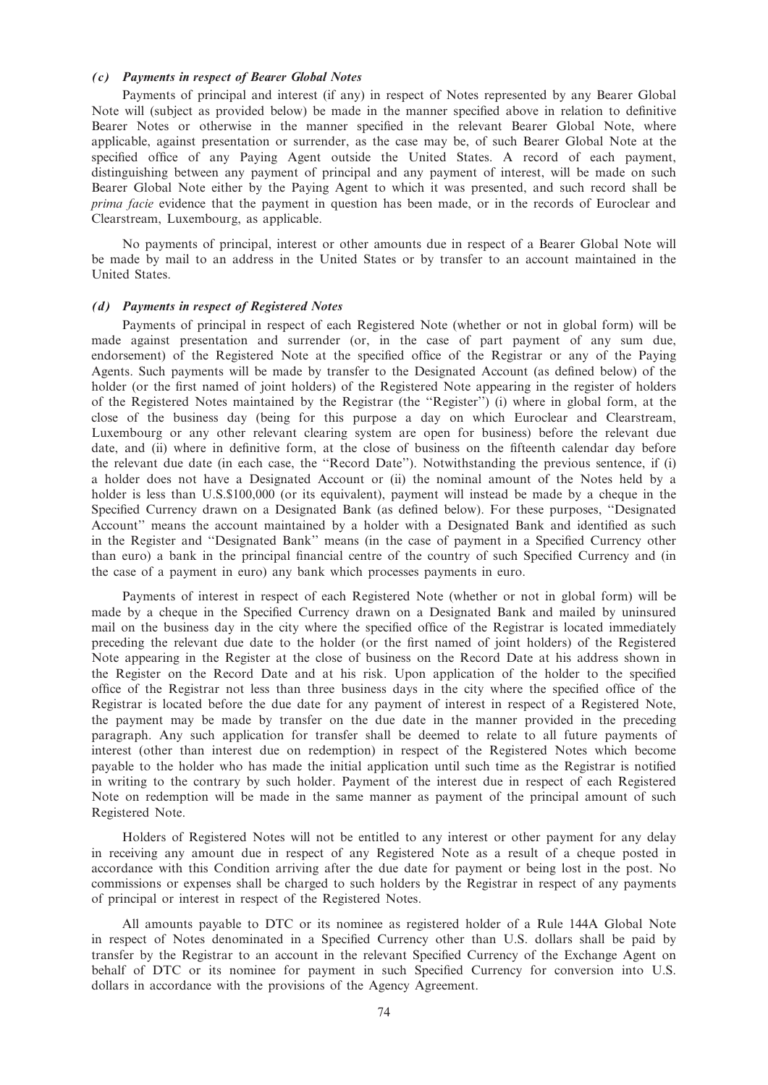# (c) Payments in respect of Bearer Global Notes

Payments of principal and interest (if any) in respect of Notes represented by any Bearer Global Note will (subject as provided below) be made in the manner specified above in relation to definitive Bearer Notes or otherwise in the manner specified in the relevant Bearer Global Note, where applicable, against presentation or surrender, as the case may be, of such Bearer Global Note at the specified office of any Paying Agent outside the United States. A record of each payment, distinguishing between any payment of principal and any payment of interest, will be made on such Bearer Global Note either by the Paying Agent to which it was presented, and such record shall be prima facie evidence that the payment in question has been made, or in the records of Euroclear and Clearstream, Luxembourg, as applicable.

No payments of principal, interest or other amounts due in respect of a Bearer Global Note will be made by mail to an address in the United States or by transfer to an account maintained in the United States.

#### (d) Payments in respect of Registered Notes

Payments of principal in respect of each Registered Note (whether or not in global form) will be made against presentation and surrender (or, in the case of part payment of any sum due, endorsement) of the Registered Note at the specified office of the Registrar or any of the Paying Agents. Such payments will be made by transfer to the Designated Account (as defined below) of the holder (or the first named of joint holders) of the Registered Note appearing in the register of holders of the Registered Notes maintained by the Registrar (the ''Register'') (i) where in global form, at the close of the business day (being for this purpose a day on which Euroclear and Clearstream, Luxembourg or any other relevant clearing system are open for business) before the relevant due date, and (ii) where in definitive form, at the close of business on the fifteenth calendar day before the relevant due date (in each case, the ''Record Date''). Notwithstanding the previous sentence, if (i) a holder does not have a Designated Account or (ii) the nominal amount of the Notes held by a holder is less than U.S.\$100,000 (or its equivalent), payment will instead be made by a cheque in the Specified Currency drawn on a Designated Bank (as defined below). For these purposes, ''Designated Account'' means the account maintained by a holder with a Designated Bank and identified as such in the Register and ''Designated Bank'' means (in the case of payment in a Specified Currency other than euro) a bank in the principal financial centre of the country of such Specified Currency and (in the case of a payment in euro) any bank which processes payments in euro.

Payments of interest in respect of each Registered Note (whether or not in global form) will be made by a cheque in the Specified Currency drawn on a Designated Bank and mailed by uninsured mail on the business day in the city where the specified office of the Registrar is located immediately preceding the relevant due date to the holder (or the first named of joint holders) of the Registered Note appearing in the Register at the close of business on the Record Date at his address shown in the Register on the Record Date and at his risk. Upon application of the holder to the specified office of the Registrar not less than three business days in the city where the specified office of the Registrar is located before the due date for any payment of interest in respect of a Registered Note, the payment may be made by transfer on the due date in the manner provided in the preceding paragraph. Any such application for transfer shall be deemed to relate to all future payments of interest (other than interest due on redemption) in respect of the Registered Notes which become payable to the holder who has made the initial application until such time as the Registrar is notified in writing to the contrary by such holder. Payment of the interest due in respect of each Registered Note on redemption will be made in the same manner as payment of the principal amount of such Registered Note.

Holders of Registered Notes will not be entitled to any interest or other payment for any delay in receiving any amount due in respect of any Registered Note as a result of a cheque posted in accordance with this Condition arriving after the due date for payment or being lost in the post. No commissions or expenses shall be charged to such holders by the Registrar in respect of any payments of principal or interest in respect of the Registered Notes.

All amounts payable to DTC or its nominee as registered holder of a Rule 144A Global Note in respect of Notes denominated in a Specified Currency other than U.S. dollars shall be paid by transfer by the Registrar to an account in the relevant Specified Currency of the Exchange Agent on behalf of DTC or its nominee for payment in such Specified Currency for conversion into U.S. dollars in accordance with the provisions of the Agency Agreement.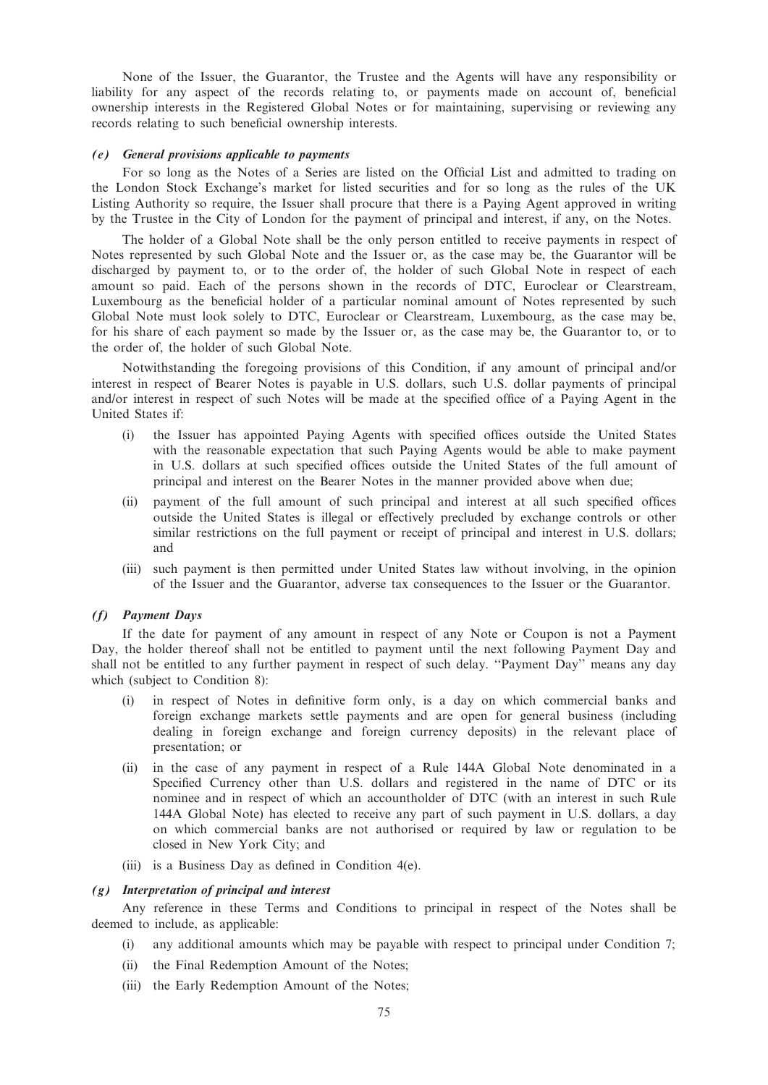None of the Issuer, the Guarantor, the Trustee and the Agents will have any responsibility or liability for any aspect of the records relating to, or payments made on account of, beneficial ownership interests in the Registered Global Notes or for maintaining, supervising or reviewing any records relating to such beneficial ownership interests.

#### (e) General provisions applicable to payments

For so long as the Notes of a Series are listed on the Official List and admitted to trading on the London Stock Exchange's market for listed securities and for so long as the rules of the UK Listing Authority so require, the Issuer shall procure that there is a Paying Agent approved in writing by the Trustee in the City of London for the payment of principal and interest, if any, on the Notes.

The holder of a Global Note shall be the only person entitled to receive payments in respect of Notes represented by such Global Note and the Issuer or, as the case may be, the Guarantor will be discharged by payment to, or to the order of, the holder of such Global Note in respect of each amount so paid. Each of the persons shown in the records of DTC, Euroclear or Clearstream, Luxembourg as the beneficial holder of a particular nominal amount of Notes represented by such Global Note must look solely to DTC, Euroclear or Clearstream, Luxembourg, as the case may be, for his share of each payment so made by the Issuer or, as the case may be, the Guarantor to, or to the order of, the holder of such Global Note.

Notwithstanding the foregoing provisions of this Condition, if any amount of principal and/or interest in respect of Bearer Notes is payable in U.S. dollars, such U.S. dollar payments of principal and/or interest in respect of such Notes will be made at the specified office of a Paying Agent in the United States if:

- (i) the Issuer has appointed Paying Agents with specified offices outside the United States with the reasonable expectation that such Paying Agents would be able to make payment in U.S. dollars at such specified offices outside the United States of the full amount of principal and interest on the Bearer Notes in the manner provided above when due;
- (ii) payment of the full amount of such principal and interest at all such specified offices outside the United States is illegal or effectively precluded by exchange controls or other similar restrictions on the full payment or receipt of principal and interest in U.S. dollars; and
- (iii) such payment is then permitted under United States law without involving, in the opinion of the Issuer and the Guarantor, adverse tax consequences to the Issuer or the Guarantor.

# (f) Payment Days

If the date for payment of any amount in respect of any Note or Coupon is not a Payment Day, the holder thereof shall not be entitled to payment until the next following Payment Day and shall not be entitled to any further payment in respect of such delay. ''Payment Day'' means any day which (subject to Condition 8):

- (i) in respect of Notes in definitive form only, is a day on which commercial banks and foreign exchange markets settle payments and are open for general business (including dealing in foreign exchange and foreign currency deposits) in the relevant place of presentation; or
- (ii) in the case of any payment in respect of a Rule 144A Global Note denominated in a Specified Currency other than U.S. dollars and registered in the name of DTC or its nominee and in respect of which an accountholder of DTC (with an interest in such Rule 144A Global Note) has elected to receive any part of such payment in U.S. dollars, a day on which commercial banks are not authorised or required by law or regulation to be closed in New York City; and
- (iii) is a Business Day as defined in Condition 4(e).

#### (g) Interpretation of principal and interest

Any reference in these Terms and Conditions to principal in respect of the Notes shall be deemed to include, as applicable:

- (i) any additional amounts which may be payable with respect to principal under Condition 7;
- (ii) the Final Redemption Amount of the Notes;
- (iii) the Early Redemption Amount of the Notes;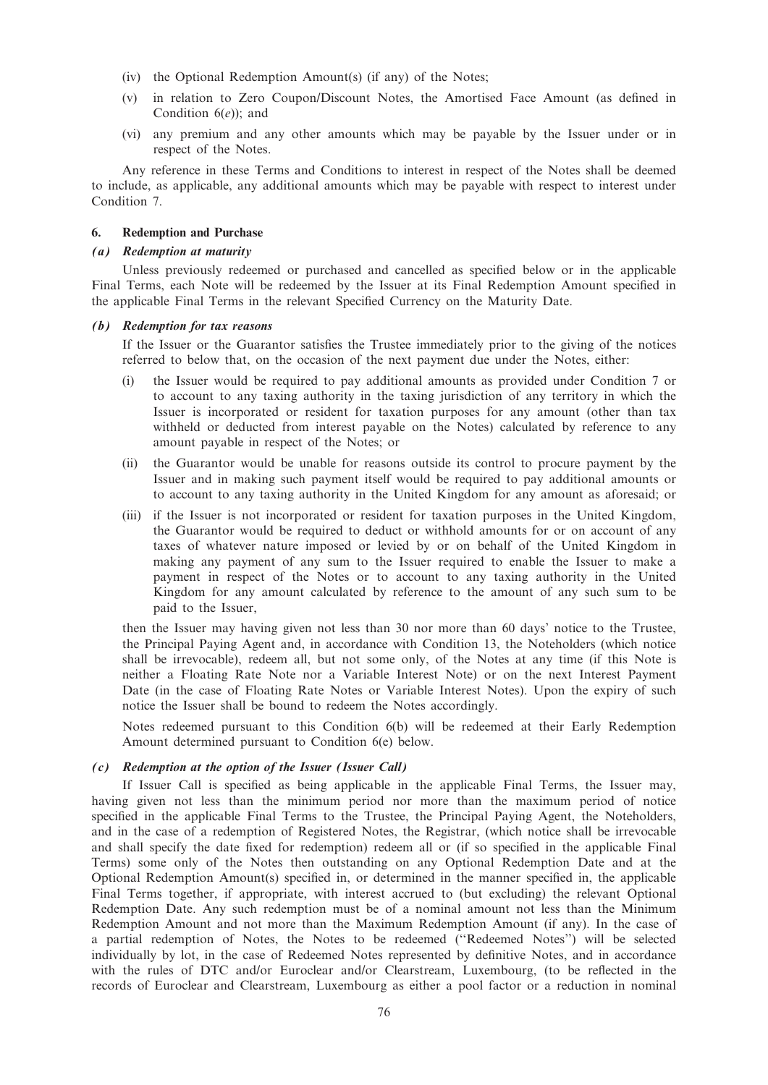- (iv) the Optional Redemption Amount(s) (if any) of the Notes;
- (v) in relation to Zero Coupon/Discount Notes, the Amortised Face Amount (as defined in Condition  $6(e)$ ; and
- (vi) any premium and any other amounts which may be payable by the Issuer under or in respect of the Notes.

Any reference in these Terms and Conditions to interest in respect of the Notes shall be deemed to include, as applicable, any additional amounts which may be payable with respect to interest under Condition 7.

# 6. Redemption and Purchase

#### (a) Redemption at maturity

Unless previously redeemed or purchased and cancelled as specified below or in the applicable Final Terms, each Note will be redeemed by the Issuer at its Final Redemption Amount specified in the applicable Final Terms in the relevant Specified Currency on the Maturity Date.

#### (b) Redemption for tax reasons

If the Issuer or the Guarantor satisfies the Trustee immediately prior to the giving of the notices referred to below that, on the occasion of the next payment due under the Notes, either:

- (i) the Issuer would be required to pay additional amounts as provided under Condition 7 or to account to any taxing authority in the taxing jurisdiction of any territory in which the Issuer is incorporated or resident for taxation purposes for any amount (other than tax withheld or deducted from interest payable on the Notes) calculated by reference to any amount payable in respect of the Notes; or
- (ii) the Guarantor would be unable for reasons outside its control to procure payment by the Issuer and in making such payment itself would be required to pay additional amounts or to account to any taxing authority in the United Kingdom for any amount as aforesaid; or
- (iii) if the Issuer is not incorporated or resident for taxation purposes in the United Kingdom, the Guarantor would be required to deduct or withhold amounts for or on account of any taxes of whatever nature imposed or levied by or on behalf of the United Kingdom in making any payment of any sum to the Issuer required to enable the Issuer to make a payment in respect of the Notes or to account to any taxing authority in the United Kingdom for any amount calculated by reference to the amount of any such sum to be paid to the Issuer,

then the Issuer may having given not less than 30 nor more than 60 days' notice to the Trustee, the Principal Paying Agent and, in accordance with Condition 13, the Noteholders (which notice shall be irrevocable), redeem all, but not some only, of the Notes at any time (if this Note is neither a Floating Rate Note nor a Variable Interest Note) or on the next Interest Payment Date (in the case of Floating Rate Notes or Variable Interest Notes). Upon the expiry of such notice the Issuer shall be bound to redeem the Notes accordingly.

Notes redeemed pursuant to this Condition 6(b) will be redeemed at their Early Redemption Amount determined pursuant to Condition 6(e) below.

# (c) Redemption at the option of the Issuer (Issuer Call)

If Issuer Call is specified as being applicable in the applicable Final Terms, the Issuer may, having given not less than the minimum period nor more than the maximum period of notice specified in the applicable Final Terms to the Trustee, the Principal Paying Agent, the Noteholders, and in the case of a redemption of Registered Notes, the Registrar, (which notice shall be irrevocable and shall specify the date fixed for redemption) redeem all or (if so specified in the applicable Final Terms) some only of the Notes then outstanding on any Optional Redemption Date and at the Optional Redemption Amount(s) specified in, or determined in the manner specified in, the applicable Final Terms together, if appropriate, with interest accrued to (but excluding) the relevant Optional Redemption Date. Any such redemption must be of a nominal amount not less than the Minimum Redemption Amount and not more than the Maximum Redemption Amount (if any). In the case of a partial redemption of Notes, the Notes to be redeemed (''Redeemed Notes'') will be selected individually by lot, in the case of Redeemed Notes represented by definitive Notes, and in accordance with the rules of DTC and/or Euroclear and/or Clearstream, Luxembourg, (to be reflected in the records of Euroclear and Clearstream, Luxembourg as either a pool factor or a reduction in nominal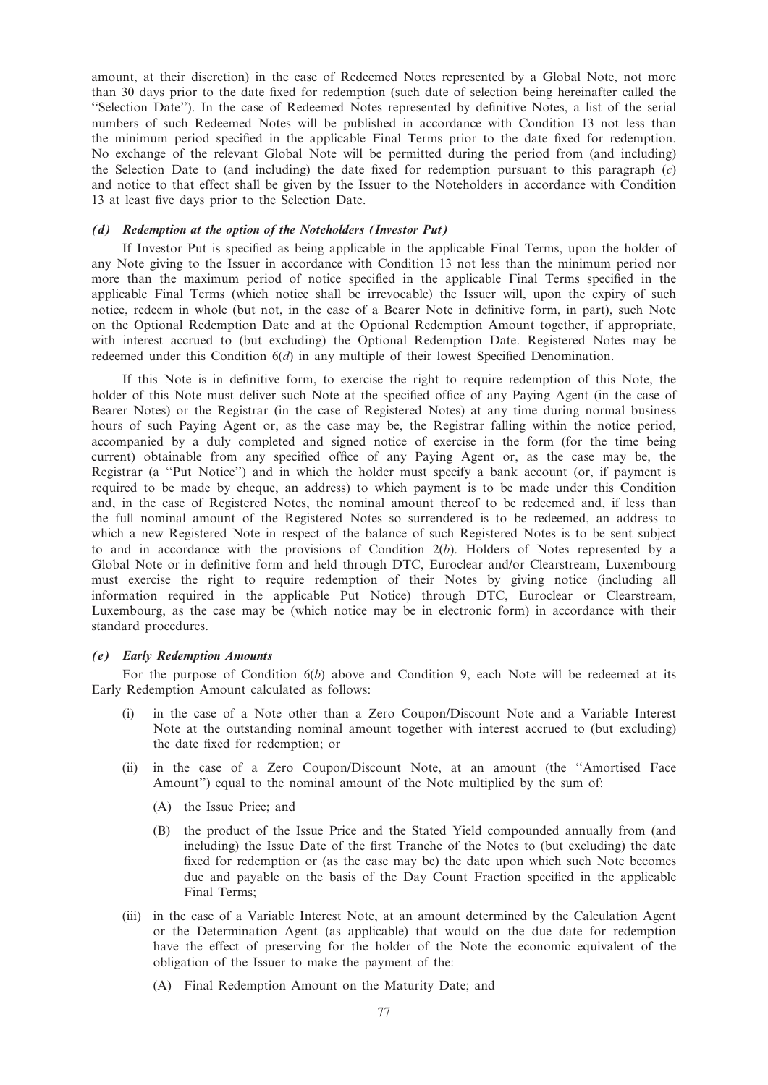amount, at their discretion) in the case of Redeemed Notes represented by a Global Note, not more than 30 days prior to the date fixed for redemption (such date of selection being hereinafter called the ''Selection Date''). In the case of Redeemed Notes represented by definitive Notes, a list of the serial numbers of such Redeemed Notes will be published in accordance with Condition 13 not less than the minimum period specified in the applicable Final Terms prior to the date fixed for redemption. No exchange of the relevant Global Note will be permitted during the period from (and including) the Selection Date to (and including) the date fixed for redemption pursuant to this paragraph  $(c)$ and notice to that effect shall be given by the Issuer to the Noteholders in accordance with Condition 13 at least five days prior to the Selection Date.

### (d) Redemption at the option of the Noteholders (Investor Put)

If Investor Put is specified as being applicable in the applicable Final Terms, upon the holder of any Note giving to the Issuer in accordance with Condition 13 not less than the minimum period nor more than the maximum period of notice specified in the applicable Final Terms specified in the applicable Final Terms (which notice shall be irrevocable) the Issuer will, upon the expiry of such notice, redeem in whole (but not, in the case of a Bearer Note in definitive form, in part), such Note on the Optional Redemption Date and at the Optional Redemption Amount together, if appropriate, with interest accrued to (but excluding) the Optional Redemption Date. Registered Notes may be redeemed under this Condition  $6(d)$  in any multiple of their lowest Specified Denomination.

If this Note is in definitive form, to exercise the right to require redemption of this Note, the holder of this Note must deliver such Note at the specified office of any Paying Agent (in the case of Bearer Notes) or the Registrar (in the case of Registered Notes) at any time during normal business hours of such Paying Agent or, as the case may be, the Registrar falling within the notice period, accompanied by a duly completed and signed notice of exercise in the form (for the time being current) obtainable from any specified office of any Paying Agent or, as the case may be, the Registrar (a ''Put Notice'') and in which the holder must specify a bank account (or, if payment is required to be made by cheque, an address) to which payment is to be made under this Condition and, in the case of Registered Notes, the nominal amount thereof to be redeemed and, if less than the full nominal amount of the Registered Notes so surrendered is to be redeemed, an address to which a new Registered Note in respect of the balance of such Registered Notes is to be sent subject to and in accordance with the provisions of Condition  $2(b)$ . Holders of Notes represented by a Global Note or in definitive form and held through DTC, Euroclear and/or Clearstream, Luxembourg must exercise the right to require redemption of their Notes by giving notice (including all information required in the applicable Put Notice) through DTC, Euroclear or Clearstream, Luxembourg, as the case may be (which notice may be in electronic form) in accordance with their standard procedures.

# (e) Early Redemption Amounts

For the purpose of Condition  $6(b)$  above and Condition 9, each Note will be redeemed at its Early Redemption Amount calculated as follows:

- (i) in the case of a Note other than a Zero Coupon/Discount Note and a Variable Interest Note at the outstanding nominal amount together with interest accrued to (but excluding) the date fixed for redemption; or
- (ii) in the case of a Zero Coupon/Discount Note, at an amount (the ''Amortised Face Amount'') equal to the nominal amount of the Note multiplied by the sum of:
	- (A) the Issue Price; and
	- (B) the product of the Issue Price and the Stated Yield compounded annually from (and including) the Issue Date of the first Tranche of the Notes to (but excluding) the date fixed for redemption or (as the case may be) the date upon which such Note becomes due and payable on the basis of the Day Count Fraction specified in the applicable Final Terms;
- (iii) in the case of a Variable Interest Note, at an amount determined by the Calculation Agent or the Determination Agent (as applicable) that would on the due date for redemption have the effect of preserving for the holder of the Note the economic equivalent of the obligation of the Issuer to make the payment of the:
	- (A) Final Redemption Amount on the Maturity Date; and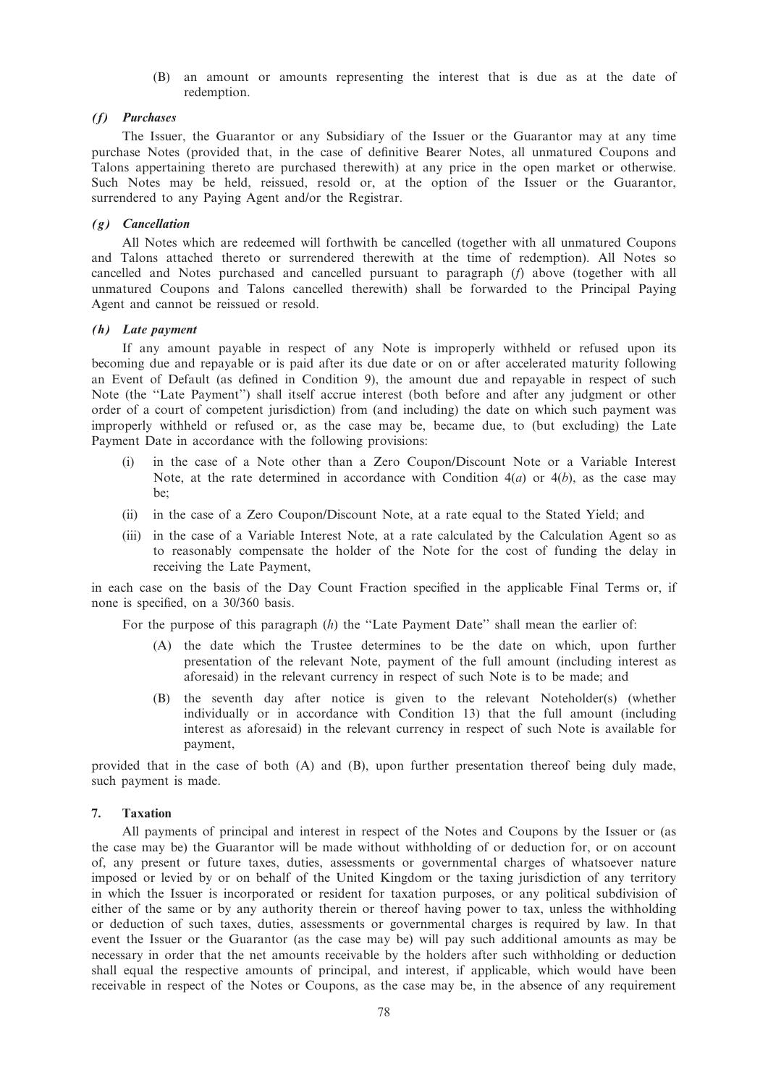(B) an amount or amounts representing the interest that is due as at the date of redemption.

## (f) Purchases

The Issuer, the Guarantor or any Subsidiary of the Issuer or the Guarantor may at any time purchase Notes (provided that, in the case of definitive Bearer Notes, all unmatured Coupons and Talons appertaining thereto are purchased therewith) at any price in the open market or otherwise. Such Notes may be held, reissued, resold or, at the option of the Issuer or the Guarantor, surrendered to any Paying Agent and/or the Registrar.

## (g) Cancellation

All Notes which are redeemed will forthwith be cancelled (together with all unmatured Coupons and Talons attached thereto or surrendered therewith at the time of redemption). All Notes so cancelled and Notes purchased and cancelled pursuant to paragraph (f) above (together with all unmatured Coupons and Talons cancelled therewith) shall be forwarded to the Principal Paying Agent and cannot be reissued or resold.

# (h) Late payment

If any amount payable in respect of any Note is improperly withheld or refused upon its becoming due and repayable or is paid after its due date or on or after accelerated maturity following an Event of Default (as defined in Condition 9), the amount due and repayable in respect of such Note (the ''Late Payment'') shall itself accrue interest (both before and after any judgment or other order of a court of competent jurisdiction) from (and including) the date on which such payment was improperly withheld or refused or, as the case may be, became due, to (but excluding) the Late Payment Date in accordance with the following provisions:

- (i) in the case of a Note other than a Zero Coupon/Discount Note or a Variable Interest Note, at the rate determined in accordance with Condition  $4(a)$  or  $4(b)$ , as the case may be;
- (ii) in the case of a Zero Coupon/Discount Note, at a rate equal to the Stated Yield; and
- (iii) in the case of a Variable Interest Note, at a rate calculated by the Calculation Agent so as to reasonably compensate the holder of the Note for the cost of funding the delay in receiving the Late Payment,

in each case on the basis of the Day Count Fraction specified in the applicable Final Terms or, if none is specified, on a 30/360 basis.

For the purpose of this paragraph (h) the "Late Payment Date" shall mean the earlier of:

- (A) the date which the Trustee determines to be the date on which, upon further presentation of the relevant Note, payment of the full amount (including interest as aforesaid) in the relevant currency in respect of such Note is to be made; and
- (B) the seventh day after notice is given to the relevant Noteholder(s) (whether individually or in accordance with Condition 13) that the full amount (including interest as aforesaid) in the relevant currency in respect of such Note is available for payment,

provided that in the case of both (A) and (B), upon further presentation thereof being duly made, such payment is made.

# 7. Taxation

All payments of principal and interest in respect of the Notes and Coupons by the Issuer or (as the case may be) the Guarantor will be made without withholding of or deduction for, or on account of, any present or future taxes, duties, assessments or governmental charges of whatsoever nature imposed or levied by or on behalf of the United Kingdom or the taxing jurisdiction of any territory in which the Issuer is incorporated or resident for taxation purposes, or any political subdivision of either of the same or by any authority therein or thereof having power to tax, unless the withholding or deduction of such taxes, duties, assessments or governmental charges is required by law. In that event the Issuer or the Guarantor (as the case may be) will pay such additional amounts as may be necessary in order that the net amounts receivable by the holders after such withholding or deduction shall equal the respective amounts of principal, and interest, if applicable, which would have been receivable in respect of the Notes or Coupons, as the case may be, in the absence of any requirement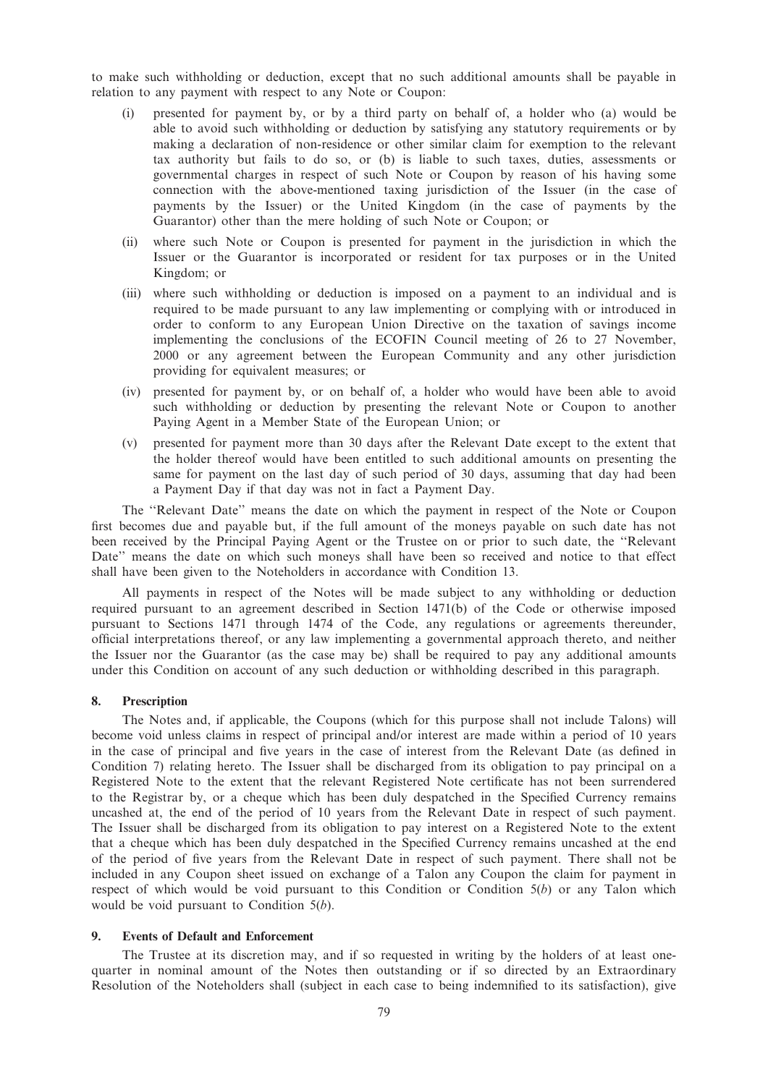to make such withholding or deduction, except that no such additional amounts shall be payable in relation to any payment with respect to any Note or Coupon:

- (i) presented for payment by, or by a third party on behalf of, a holder who (a) would be able to avoid such withholding or deduction by satisfying any statutory requirements or by making a declaration of non-residence or other similar claim for exemption to the relevant tax authority but fails to do so, or (b) is liable to such taxes, duties, assessments or governmental charges in respect of such Note or Coupon by reason of his having some connection with the above-mentioned taxing jurisdiction of the Issuer (in the case of payments by the Issuer) or the United Kingdom (in the case of payments by the Guarantor) other than the mere holding of such Note or Coupon; or
- (ii) where such Note or Coupon is presented for payment in the jurisdiction in which the Issuer or the Guarantor is incorporated or resident for tax purposes or in the United Kingdom; or
- (iii) where such withholding or deduction is imposed on a payment to an individual and is required to be made pursuant to any law implementing or complying with or introduced in order to conform to any European Union Directive on the taxation of savings income implementing the conclusions of the ECOFIN Council meeting of 26 to 27 November, 2000 or any agreement between the European Community and any other jurisdiction providing for equivalent measures; or
- (iv) presented for payment by, or on behalf of, a holder who would have been able to avoid such withholding or deduction by presenting the relevant Note or Coupon to another Paying Agent in a Member State of the European Union; or
- (v) presented for payment more than 30 days after the Relevant Date except to the extent that the holder thereof would have been entitled to such additional amounts on presenting the same for payment on the last day of such period of 30 days, assuming that day had been a Payment Day if that day was not in fact a Payment Day.

The ''Relevant Date'' means the date on which the payment in respect of the Note or Coupon first becomes due and payable but, if the full amount of the moneys payable on such date has not been received by the Principal Paying Agent or the Trustee on or prior to such date, the ''Relevant Date'' means the date on which such moneys shall have been so received and notice to that effect shall have been given to the Noteholders in accordance with Condition 13.

All payments in respect of the Notes will be made subject to any withholding or deduction required pursuant to an agreement described in Section 1471(b) of the Code or otherwise imposed pursuant to Sections 1471 through 1474 of the Code, any regulations or agreements thereunder, official interpretations thereof, or any law implementing a governmental approach thereto, and neither the Issuer nor the Guarantor (as the case may be) shall be required to pay any additional amounts under this Condition on account of any such deduction or withholding described in this paragraph.

## 8. Prescription

The Notes and, if applicable, the Coupons (which for this purpose shall not include Talons) will become void unless claims in respect of principal and/or interest are made within a period of 10 years in the case of principal and five years in the case of interest from the Relevant Date (as defined in Condition 7) relating hereto. The Issuer shall be discharged from its obligation to pay principal on a Registered Note to the extent that the relevant Registered Note certificate has not been surrendered to the Registrar by, or a cheque which has been duly despatched in the Specified Currency remains uncashed at, the end of the period of 10 years from the Relevant Date in respect of such payment. The Issuer shall be discharged from its obligation to pay interest on a Registered Note to the extent that a cheque which has been duly despatched in the Specified Currency remains uncashed at the end of the period of five years from the Relevant Date in respect of such payment. There shall not be included in any Coupon sheet issued on exchange of a Talon any Coupon the claim for payment in respect of which would be void pursuant to this Condition or Condition  $5(b)$  or any Talon which would be void pursuant to Condition  $5(b)$ .

## 9. Events of Default and Enforcement

The Trustee at its discretion may, and if so requested in writing by the holders of at least onequarter in nominal amount of the Notes then outstanding or if so directed by an Extraordinary Resolution of the Noteholders shall (subject in each case to being indemnified to its satisfaction), give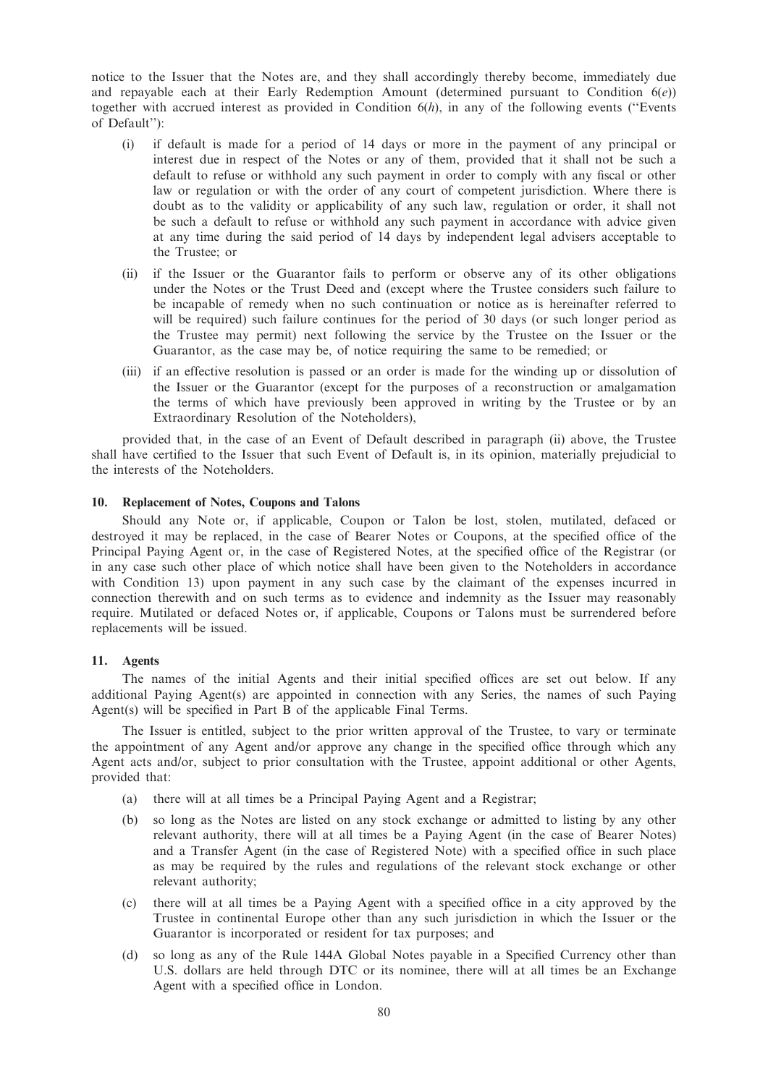notice to the Issuer that the Notes are, and they shall accordingly thereby become, immediately due and repayable each at their Early Redemption Amount (determined pursuant to Condition  $6(e)$ ) together with accrued interest as provided in Condition  $6(h)$ , in any of the following events ("Events") of Default''):

- (i) if default is made for a period of 14 days or more in the payment of any principal or interest due in respect of the Notes or any of them, provided that it shall not be such a default to refuse or withhold any such payment in order to comply with any fiscal or other law or regulation or with the order of any court of competent jurisdiction. Where there is doubt as to the validity or applicability of any such law, regulation or order, it shall not be such a default to refuse or withhold any such payment in accordance with advice given at any time during the said period of 14 days by independent legal advisers acceptable to the Trustee; or
- (ii) if the Issuer or the Guarantor fails to perform or observe any of its other obligations under the Notes or the Trust Deed and (except where the Trustee considers such failure to be incapable of remedy when no such continuation or notice as is hereinafter referred to will be required) such failure continues for the period of 30 days (or such longer period as the Trustee may permit) next following the service by the Trustee on the Issuer or the Guarantor, as the case may be, of notice requiring the same to be remedied; or
- (iii) if an effective resolution is passed or an order is made for the winding up or dissolution of the Issuer or the Guarantor (except for the purposes of a reconstruction or amalgamation the terms of which have previously been approved in writing by the Trustee or by an Extraordinary Resolution of the Noteholders),

provided that, in the case of an Event of Default described in paragraph (ii) above, the Trustee shall have certified to the Issuer that such Event of Default is, in its opinion, materially prejudicial to the interests of the Noteholders.

### 10. Replacement of Notes, Coupons and Talons

Should any Note or, if applicable, Coupon or Talon be lost, stolen, mutilated, defaced or destroyed it may be replaced, in the case of Bearer Notes or Coupons, at the specified office of the Principal Paying Agent or, in the case of Registered Notes, at the specified office of the Registrar (or in any case such other place of which notice shall have been given to the Noteholders in accordance with Condition 13) upon payment in any such case by the claimant of the expenses incurred in connection therewith and on such terms as to evidence and indemnity as the Issuer may reasonably require. Mutilated or defaced Notes or, if applicable, Coupons or Talons must be surrendered before replacements will be issued.

# 11. Agents

The names of the initial Agents and their initial specified offices are set out below. If any additional Paying Agent(s) are appointed in connection with any Series, the names of such Paying Agent(s) will be specified in Part B of the applicable Final Terms.

The Issuer is entitled, subject to the prior written approval of the Trustee, to vary or terminate the appointment of any Agent and/or approve any change in the specified office through which any Agent acts and/or, subject to prior consultation with the Trustee, appoint additional or other Agents, provided that:

- (a) there will at all times be a Principal Paying Agent and a Registrar;
- (b) so long as the Notes are listed on any stock exchange or admitted to listing by any other relevant authority, there will at all times be a Paying Agent (in the case of Bearer Notes) and a Transfer Agent (in the case of Registered Note) with a specified office in such place as may be required by the rules and regulations of the relevant stock exchange or other relevant authority;
- (c) there will at all times be a Paying Agent with a specified office in a city approved by the Trustee in continental Europe other than any such jurisdiction in which the Issuer or the Guarantor is incorporated or resident for tax purposes; and
- (d) so long as any of the Rule 144A Global Notes payable in a Specified Currency other than U.S. dollars are held through DTC or its nominee, there will at all times be an Exchange Agent with a specified office in London.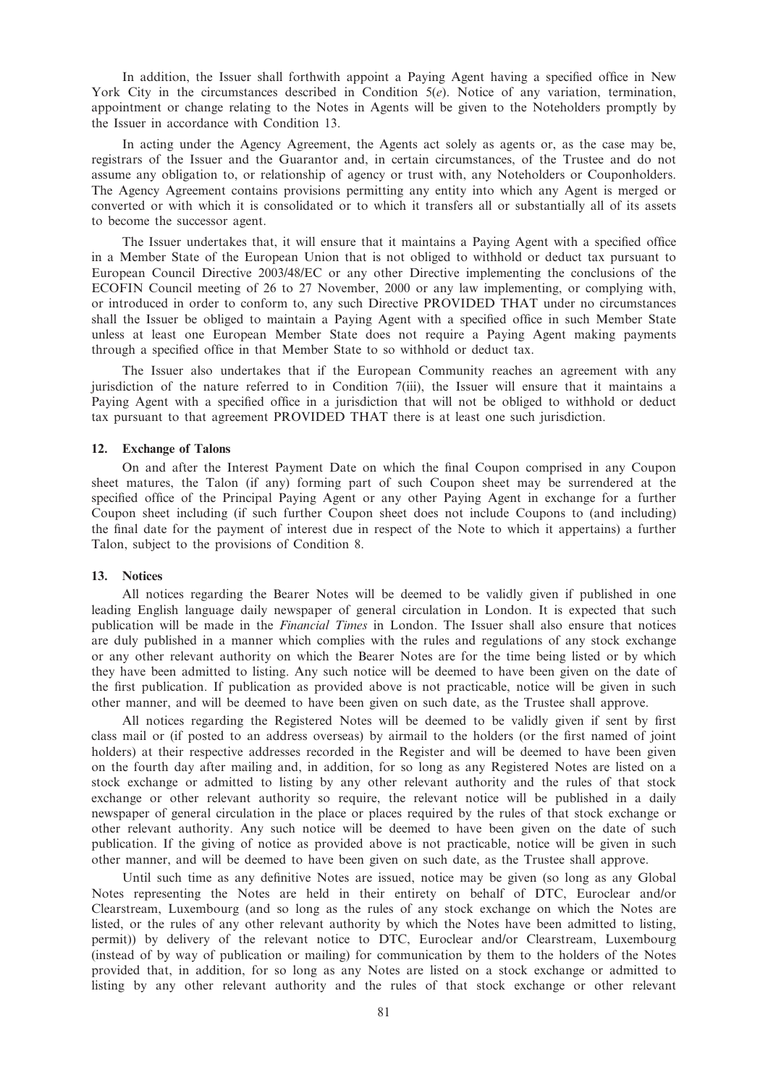In addition, the Issuer shall forthwith appoint a Paying Agent having a specified office in New York City in the circumstances described in Condition 5(e). Notice of any variation, termination, appointment or change relating to the Notes in Agents will be given to the Noteholders promptly by the Issuer in accordance with Condition 13.

In acting under the Agency Agreement, the Agents act solely as agents or, as the case may be, registrars of the Issuer and the Guarantor and, in certain circumstances, of the Trustee and do not assume any obligation to, or relationship of agency or trust with, any Noteholders or Couponholders. The Agency Agreement contains provisions permitting any entity into which any Agent is merged or converted or with which it is consolidated or to which it transfers all or substantially all of its assets to become the successor agent.

The Issuer undertakes that, it will ensure that it maintains a Paying Agent with a specified office in a Member State of the European Union that is not obliged to withhold or deduct tax pursuant to European Council Directive 2003/48/EC or any other Directive implementing the conclusions of the ECOFIN Council meeting of 26 to 27 November, 2000 or any law implementing, or complying with, or introduced in order to conform to, any such Directive PROVIDED THAT under no circumstances shall the Issuer be obliged to maintain a Paying Agent with a specified office in such Member State unless at least one European Member State does not require a Paying Agent making payments through a specified office in that Member State to so withhold or deduct tax.

The Issuer also undertakes that if the European Community reaches an agreement with any jurisdiction of the nature referred to in Condition 7(iii), the Issuer will ensure that it maintains a Paying Agent with a specified office in a jurisdiction that will not be obliged to withhold or deduct tax pursuant to that agreement PROVIDED THAT there is at least one such jurisdiction.

## 12. Exchange of Talons

On and after the Interest Payment Date on which the final Coupon comprised in any Coupon sheet matures, the Talon (if any) forming part of such Coupon sheet may be surrendered at the specified office of the Principal Paying Agent or any other Paying Agent in exchange for a further Coupon sheet including (if such further Coupon sheet does not include Coupons to (and including) the final date for the payment of interest due in respect of the Note to which it appertains) a further Talon, subject to the provisions of Condition 8.

#### 13. Notices

All notices regarding the Bearer Notes will be deemed to be validly given if published in one leading English language daily newspaper of general circulation in London. It is expected that such publication will be made in the Financial Times in London. The Issuer shall also ensure that notices are duly published in a manner which complies with the rules and regulations of any stock exchange or any other relevant authority on which the Bearer Notes are for the time being listed or by which they have been admitted to listing. Any such notice will be deemed to have been given on the date of the first publication. If publication as provided above is not practicable, notice will be given in such other manner, and will be deemed to have been given on such date, as the Trustee shall approve.

All notices regarding the Registered Notes will be deemed to be validly given if sent by first class mail or (if posted to an address overseas) by airmail to the holders (or the first named of joint holders) at their respective addresses recorded in the Register and will be deemed to have been given on the fourth day after mailing and, in addition, for so long as any Registered Notes are listed on a stock exchange or admitted to listing by any other relevant authority and the rules of that stock exchange or other relevant authority so require, the relevant notice will be published in a daily newspaper of general circulation in the place or places required by the rules of that stock exchange or other relevant authority. Any such notice will be deemed to have been given on the date of such publication. If the giving of notice as provided above is not practicable, notice will be given in such other manner, and will be deemed to have been given on such date, as the Trustee shall approve.

Until such time as any definitive Notes are issued, notice may be given (so long as any Global Notes representing the Notes are held in their entirety on behalf of DTC, Euroclear and/or Clearstream, Luxembourg (and so long as the rules of any stock exchange on which the Notes are listed, or the rules of any other relevant authority by which the Notes have been admitted to listing, permit)) by delivery of the relevant notice to DTC, Euroclear and/or Clearstream, Luxembourg (instead of by way of publication or mailing) for communication by them to the holders of the Notes provided that, in addition, for so long as any Notes are listed on a stock exchange or admitted to listing by any other relevant authority and the rules of that stock exchange or other relevant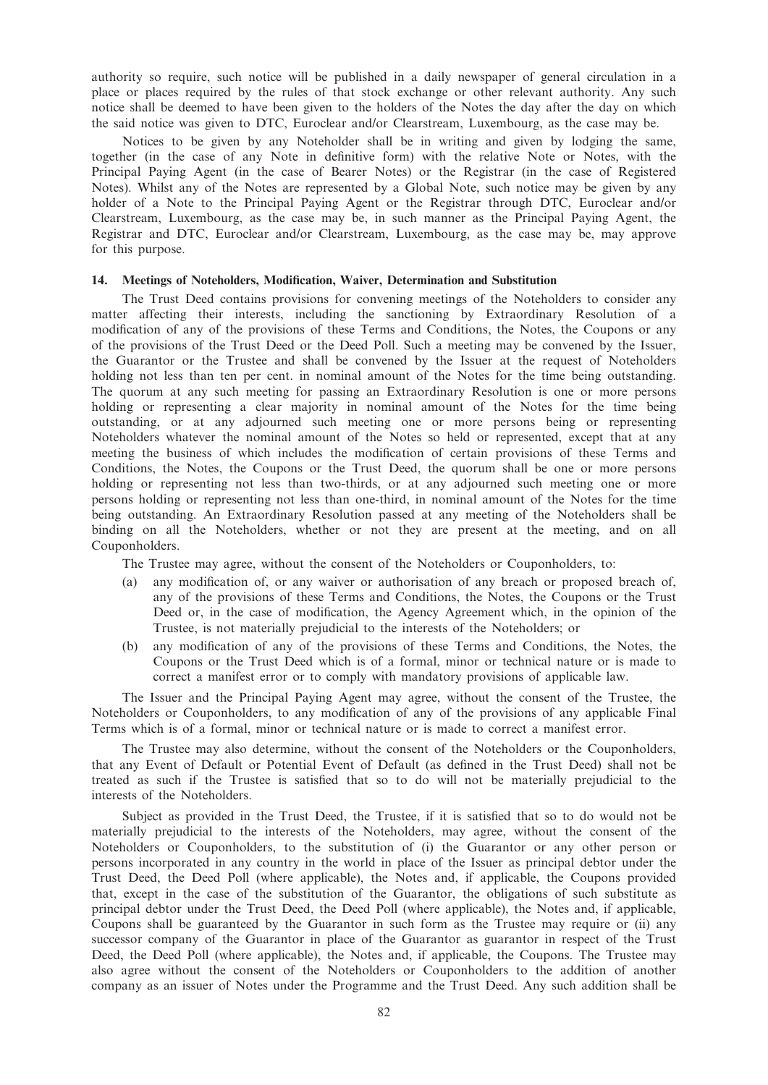authority so require, such notice will be published in a daily newspaper of general circulation in a place or places required by the rules of that stock exchange or other relevant authority. Any such notice shall be deemed to have been given to the holders of the Notes the day after the day on which the said notice was given to DTC, Euroclear and/or Clearstream, Luxembourg, as the case may be.

Notices to be given by any Noteholder shall be in writing and given by lodging the same, together (in the case of any Note in definitive form) with the relative Note or Notes, with the Principal Paying Agent (in the case of Bearer Notes) or the Registrar (in the case of Registered Notes). Whilst any of the Notes are represented by a Global Note, such notice may be given by any holder of a Note to the Principal Paying Agent or the Registrar through DTC, Euroclear and/or Clearstream, Luxembourg, as the case may be, in such manner as the Principal Paying Agent, the Registrar and DTC, Euroclear and/or Clearstream, Luxembourg, as the case may be, may approve for this purpose.

## 14. Meetings of Noteholders, Modification, Waiver, Determination and Substitution

The Trust Deed contains provisions for convening meetings of the Noteholders to consider any matter affecting their interests, including the sanctioning by Extraordinary Resolution of a modification of any of the provisions of these Terms and Conditions, the Notes, the Coupons or any of the provisions of the Trust Deed or the Deed Poll. Such a meeting may be convened by the Issuer, the Guarantor or the Trustee and shall be convened by the Issuer at the request of Noteholders holding not less than ten per cent. in nominal amount of the Notes for the time being outstanding. The quorum at any such meeting for passing an Extraordinary Resolution is one or more persons holding or representing a clear majority in nominal amount of the Notes for the time being outstanding, or at any adjourned such meeting one or more persons being or representing Noteholders whatever the nominal amount of the Notes so held or represented, except that at any meeting the business of which includes the modification of certain provisions of these Terms and Conditions, the Notes, the Coupons or the Trust Deed, the quorum shall be one or more persons holding or representing not less than two-thirds, or at any adjourned such meeting one or more persons holding or representing not less than one-third, in nominal amount of the Notes for the time being outstanding. An Extraordinary Resolution passed at any meeting of the Noteholders shall be binding on all the Noteholders, whether or not they are present at the meeting, and on all Couponholders.

The Trustee may agree, without the consent of the Noteholders or Couponholders, to:

- (a) any modification of, or any waiver or authorisation of any breach or proposed breach of, any of the provisions of these Terms and Conditions, the Notes, the Coupons or the Trust Deed or, in the case of modification, the Agency Agreement which, in the opinion of the Trustee, is not materially prejudicial to the interests of the Noteholders; or
- (b) any modification of any of the provisions of these Terms and Conditions, the Notes, the Coupons or the Trust Deed which is of a formal, minor or technical nature or is made to correct a manifest error or to comply with mandatory provisions of applicable law.

The Issuer and the Principal Paying Agent may agree, without the consent of the Trustee, the Noteholders or Couponholders, to any modification of any of the provisions of any applicable Final Terms which is of a formal, minor or technical nature or is made to correct a manifest error.

The Trustee may also determine, without the consent of the Noteholders or the Couponholders, that any Event of Default or Potential Event of Default (as defined in the Trust Deed) shall not be treated as such if the Trustee is satisfied that so to do will not be materially prejudicial to the interests of the Noteholders.

Subject as provided in the Trust Deed, the Trustee, if it is satisfied that so to do would not be materially prejudicial to the interests of the Noteholders, may agree, without the consent of the Noteholders or Couponholders, to the substitution of (i) the Guarantor or any other person or persons incorporated in any country in the world in place of the Issuer as principal debtor under the Trust Deed, the Deed Poll (where applicable), the Notes and, if applicable, the Coupons provided that, except in the case of the substitution of the Guarantor, the obligations of such substitute as principal debtor under the Trust Deed, the Deed Poll (where applicable), the Notes and, if applicable, Coupons shall be guaranteed by the Guarantor in such form as the Trustee may require or (ii) any successor company of the Guarantor in place of the Guarantor as guarantor in respect of the Trust Deed, the Deed Poll (where applicable), the Notes and, if applicable, the Coupons. The Trustee may also agree without the consent of the Noteholders or Couponholders to the addition of another company as an issuer of Notes under the Programme and the Trust Deed. Any such addition shall be